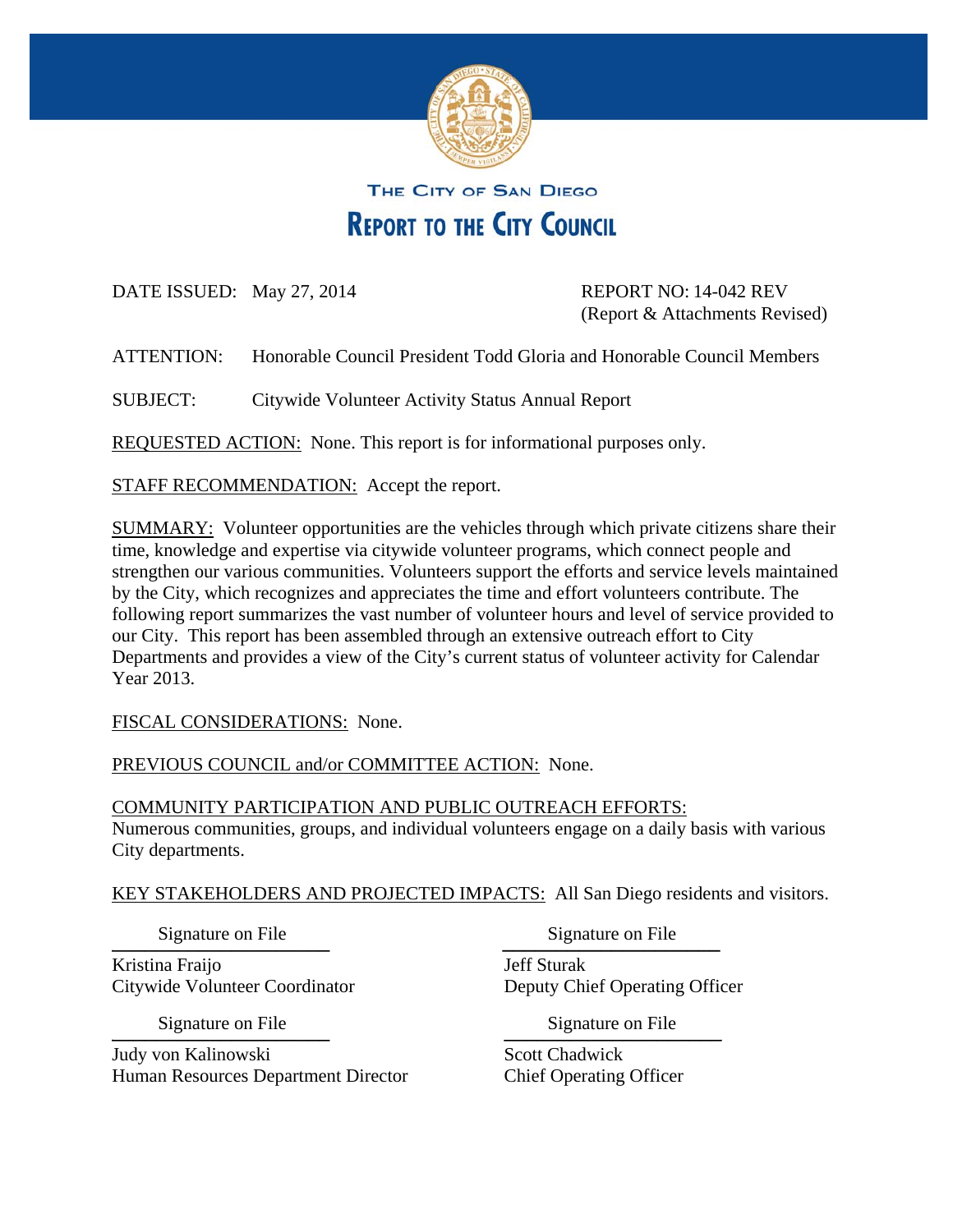

# THE CITY OF SAN DIEGO **REPORT TO THE CITY COUNCIL**

DATE ISSUED: May 27, 2014 REPORT NO: 14-042 REV

(Report & Attachments Revised)

ATTENTION: Honorable Council President Todd Gloria and Honorable Council Members

SUBJECT: Citywide Volunteer Activity Status Annual Report

REQUESTED ACTION: None. This report is for informational purposes only.

STAFF RECOMMENDATION: Accept the report.

SUMMARY: Volunteer opportunities are the vehicles through which private citizens share their time, knowledge and expertise via citywide volunteer programs, which connect people and strengthen our various communities. Volunteers support the efforts and service levels maintained by the City, which recognizes and appreciates the time and effort volunteers contribute. The following report summarizes the vast number of volunteer hours and level of service provided to our City. This report has been assembled through an extensive outreach effort to City Departments and provides a view of the City's current status of volunteer activity for Calendar Year 2013.

FISCAL CONSIDERATIONS: None.

PREVIOUS COUNCIL and/or COMMITTEE ACTION: None.

#### COMMUNITY PARTICIPATION AND PUBLIC OUTREACH EFFORTS:

Numerous communities, groups, and individual volunteers engage on a daily basis with various City departments.

KEY STAKEHOLDERS AND PROJECTED IMPACTS: All San Diego residents and visitors.

Signature on File<br>
and Signature on File<br>
and Signature on File Signature on File

Kristina Fraijo **Jeff Sturak** Citywide Volunteer Coordinator Deputy Chief Operating Officer

Signature on File<br>
and The Signature on File<br>
and Signature on File Signature on File Signature on File

Judy von Kalinowski Scott Chadwick Human Resources Department Director Chief Operating Officer

Signature on File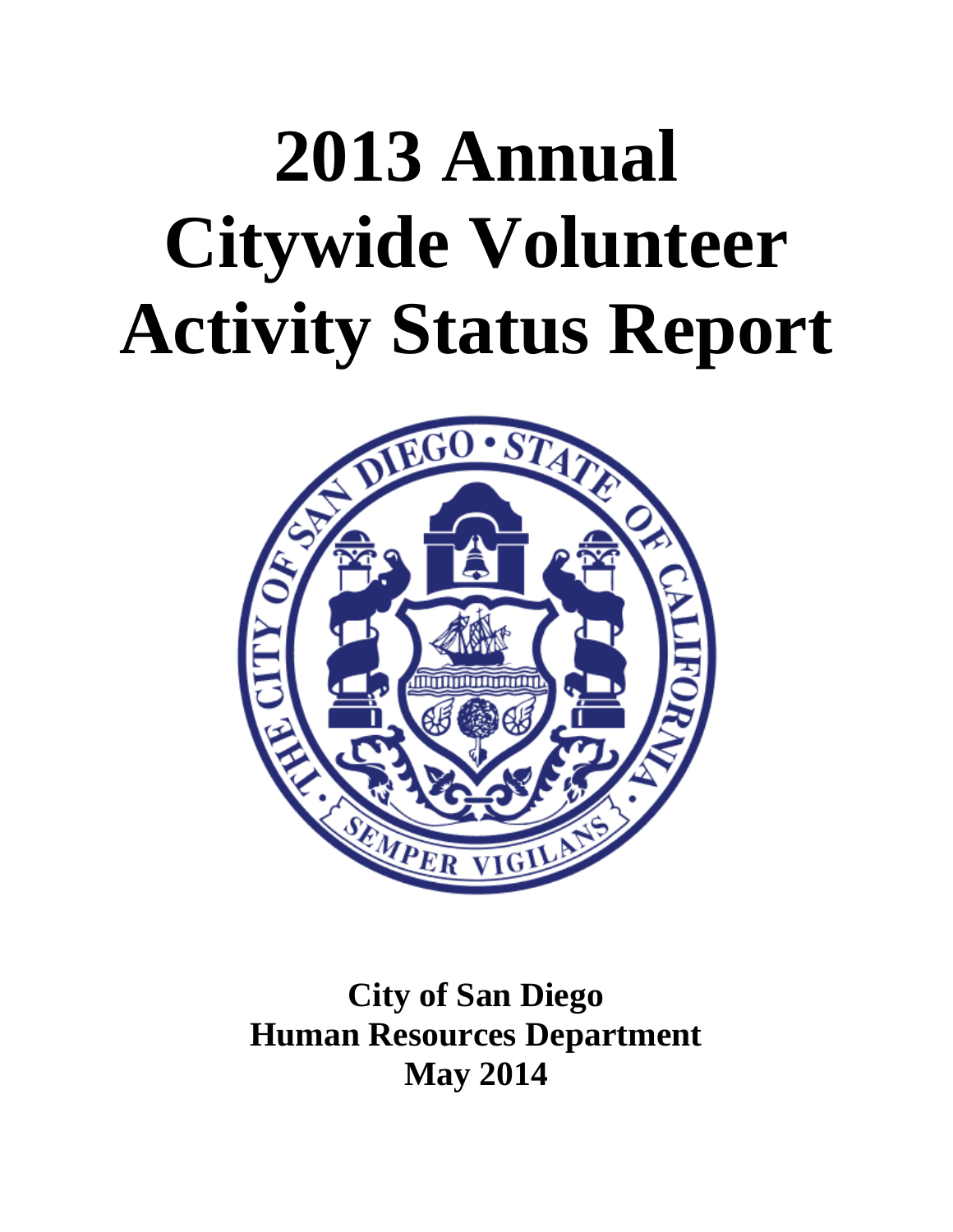# **2013 Annual Citywide Volunteer Activity Status Report**



# **City of San Diego Human Resources Department May 2014**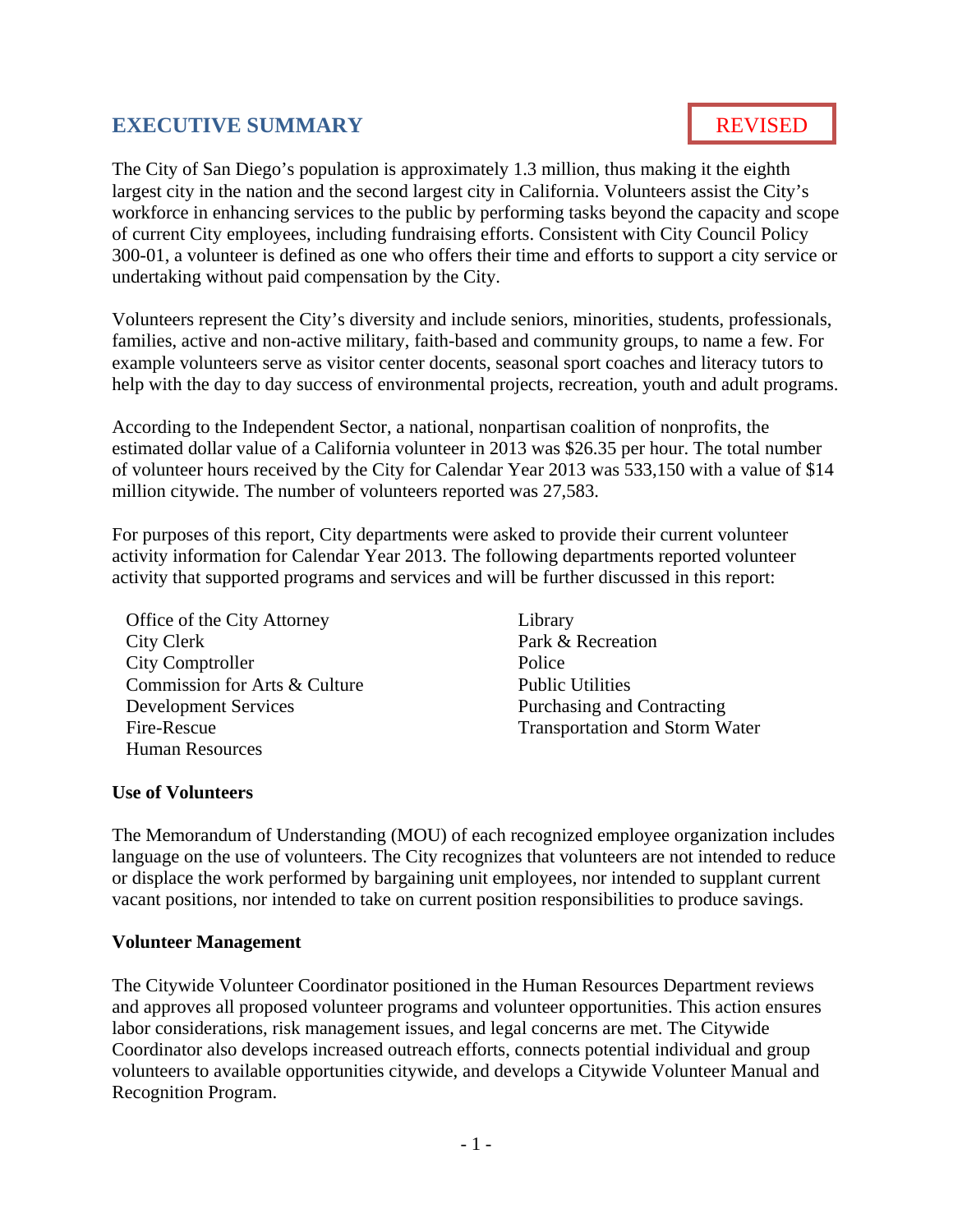# **EXECUTIVE SUMMARY**

# REVISED

The City of San Diego's population is approximately 1.3 million, thus making it the eighth largest city in the nation and the second largest city in California. Volunteers assist the City's workforce in enhancing services to the public by performing tasks beyond the capacity and scope of current City employees, including fundraising efforts. Consistent with City Council Policy 300-01, a volunteer is defined as one who offers their time and efforts to support a city service or undertaking without paid compensation by the City.

Volunteers represent the City's diversity and include seniors, minorities, students, professionals, families, active and non-active military, faith-based and community groups, to name a few. For example volunteers serve as visitor center docents, seasonal sport coaches and literacy tutors to help with the day to day success of environmental projects, recreation, youth and adult programs.

According to the Independent Sector, a national, nonpartisan coalition of nonprofits, the estimated dollar value of a California volunteer in 2013 was \$26.35 per hour. The total number of volunteer hours received by the City for Calendar Year 2013 was 533,150 with a value of \$14 million citywide. The number of volunteers reported was 27,583.

For purposes of this report, City departments were asked to provide their current volunteer activity information for Calendar Year 2013. The following departments reported volunteer activity that supported programs and services and will be further discussed in this report:

Office of the City Attorney City Clerk City Comptroller Commission for Arts & Culture Development Services Fire-Rescue Human Resources

Library Park & Recreation Police Public Utilities Purchasing and Contracting Transportation and Storm Water

#### **Use of Volunteers**

The Memorandum of Understanding (MOU) of each recognized employee organization includes language on the use of volunteers. The City recognizes that volunteers are not intended to reduce or displace the work performed by bargaining unit employees, nor intended to supplant current vacant positions, nor intended to take on current position responsibilities to produce savings.

#### **Volunteer Management**

The Citywide Volunteer Coordinator positioned in the Human Resources Department reviews and approves all proposed volunteer programs and volunteer opportunities. This action ensures labor considerations, risk management issues, and legal concerns are met. The Citywide Coordinator also develops increased outreach efforts, connects potential individual and group volunteers to available opportunities citywide, and develops a Citywide Volunteer Manual and Recognition Program.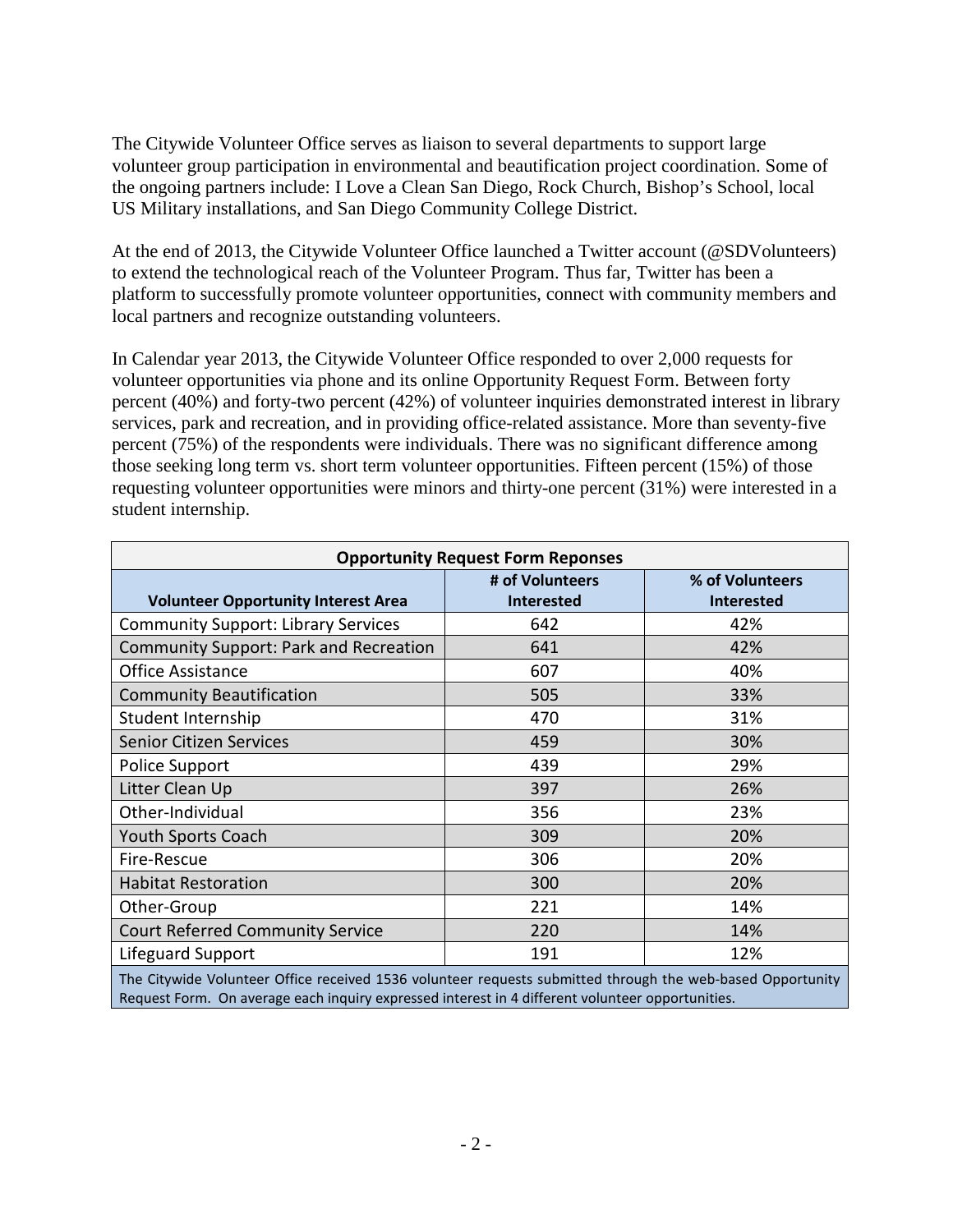The Citywide Volunteer Office serves as liaison to several departments to support large volunteer group participation in environmental and beautification project coordination. Some of the ongoing partners include: I Love a Clean San Diego, Rock Church, Bishop's School, local US Military installations, and San Diego Community College District.

At the end of 2013, the Citywide Volunteer Office launched a Twitter account (@SDVolunteers) to extend the technological reach of the Volunteer Program. Thus far, Twitter has been a platform to successfully promote volunteer opportunities, connect with community members and local partners and recognize outstanding volunteers.

In Calendar year 2013, the Citywide Volunteer Office responded to over 2,000 requests for volunteer opportunities via phone and its online Opportunity Request Form. Between forty percent (40%) and forty-two percent (42%) of volunteer inquiries demonstrated interest in library services, park and recreation, and in providing office-related assistance. More than seventy-five percent (75%) of the respondents were individuals. There was no significant difference among those seeking long term vs. short term volunteer opportunities. Fifteen percent (15%) of those requesting volunteer opportunities were minors and thirty-one percent (31%) were interested in a student internship.

| <b>Opportunity Request Form Reponses</b>                                                                   |                   |                   |  |  |  |  |
|------------------------------------------------------------------------------------------------------------|-------------------|-------------------|--|--|--|--|
|                                                                                                            | # of Volunteers   | % of Volunteers   |  |  |  |  |
| <b>Volunteer Opportunity Interest Area</b>                                                                 | <b>Interested</b> | <b>Interested</b> |  |  |  |  |
| <b>Community Support: Library Services</b>                                                                 | 642               | 42%               |  |  |  |  |
| Community Support: Park and Recreation                                                                     | 641               | 42%               |  |  |  |  |
| <b>Office Assistance</b>                                                                                   | 607               | 40%               |  |  |  |  |
| <b>Community Beautification</b>                                                                            | 505               | 33%               |  |  |  |  |
| Student Internship                                                                                         | 470               | 31%               |  |  |  |  |
| <b>Senior Citizen Services</b>                                                                             | 459               | 30%               |  |  |  |  |
| Police Support                                                                                             | 439               | 29%               |  |  |  |  |
| Litter Clean Up                                                                                            | 397               | 26%               |  |  |  |  |
| Other-Individual                                                                                           | 356               | 23%               |  |  |  |  |
| <b>Youth Sports Coach</b>                                                                                  | 309               | 20%               |  |  |  |  |
| Fire-Rescue                                                                                                | 306               | 20%               |  |  |  |  |
| <b>Habitat Restoration</b>                                                                                 | 300               | 20%               |  |  |  |  |
| Other-Group                                                                                                | 221               | 14%               |  |  |  |  |
| <b>Court Referred Community Service</b>                                                                    | 220               | 14%               |  |  |  |  |
| Lifeguard Support                                                                                          | 191               | 12%               |  |  |  |  |
| The Citywide Volunteer Office received 1536 volunteer requests submitted through the web-based Opportunity |                   |                   |  |  |  |  |

The Citywide Volunteer Office received 1536 volunteer requests submitted through the web-based Opportunity Request Form. On average each inquiry expressed interest in 4 different volunteer opportunities.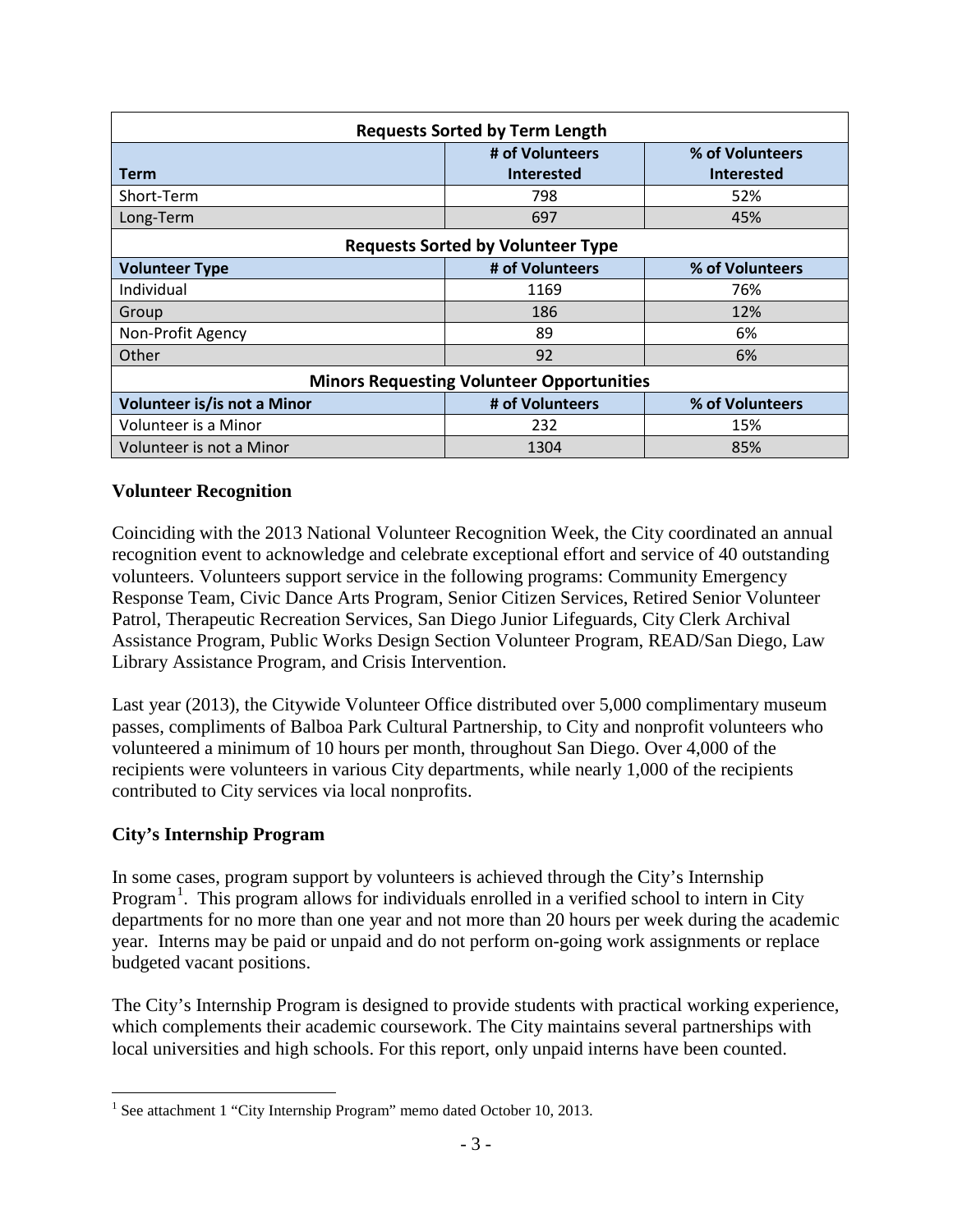| <b>Requests Sorted by Term Length</b>   |                                                  |                   |  |  |  |  |
|-----------------------------------------|--------------------------------------------------|-------------------|--|--|--|--|
| # of Volunteers<br>% of Volunteers      |                                                  |                   |  |  |  |  |
| Term                                    | <b>Interested</b>                                | <b>Interested</b> |  |  |  |  |
| Short-Term                              | 798                                              | 52%               |  |  |  |  |
| Long-Term                               | 697                                              | 45%               |  |  |  |  |
|                                         | <b>Requests Sorted by Volunteer Type</b>         |                   |  |  |  |  |
| <b>Volunteer Type</b>                   | # of Volunteers                                  | % of Volunteers   |  |  |  |  |
| Individual                              | 1169                                             | 76%               |  |  |  |  |
| Group                                   | 186                                              | 12%               |  |  |  |  |
| Non-Profit Agency                       | 89                                               | 6%                |  |  |  |  |
| Other                                   | 92                                               | 6%                |  |  |  |  |
|                                         | <b>Minors Requesting Volunteer Opportunities</b> |                   |  |  |  |  |
| Volunteer is/is not a Minor             | # of Volunteers<br>% of Volunteers               |                   |  |  |  |  |
| Volunteer is a Minor                    | 232                                              | 15%               |  |  |  |  |
| Volunteer is not a Minor<br>85%<br>1304 |                                                  |                   |  |  |  |  |

#### **Volunteer Recognition**

Coinciding with the 2013 National Volunteer Recognition Week, the City coordinated an annual recognition event to acknowledge and celebrate exceptional effort and service of 40 outstanding volunteers. Volunteers support service in the following programs: Community Emergency Response Team, Civic Dance Arts Program, Senior Citizen Services, Retired Senior Volunteer Patrol, Therapeutic Recreation Services, San Diego Junior Lifeguards, City Clerk Archival Assistance Program, Public Works Design Section Volunteer Program, READ/San Diego, Law Library Assistance Program, and Crisis Intervention.

Last year (2013), the Citywide Volunteer Office distributed over 5,000 complimentary museum passes, compliments of Balboa Park Cultural Partnership, to City and nonprofit volunteers who volunteered a minimum of 10 hours per month, throughout San Diego. Over 4,000 of the recipients were volunteers in various City departments, while nearly 1,000 of the recipients contributed to City services via local nonprofits.

#### **City's Internship Program**

In some cases, program support by volunteers is achieved through the City's Internship Program<sup>[1](#page-4-0)</sup>. This program allows for individuals enrolled in a verified school to intern in City departments for no more than one year and not more than 20 hours per week during the academic year. Interns may be paid or unpaid and do not perform on-going work assignments or replace budgeted vacant positions.

The City's Internship Program is designed to provide students with practical working experience, which complements their academic coursework. The City maintains several partnerships with local universities and high schools. For this report, only unpaid interns have been counted.

<span id="page-4-0"></span><sup>&</sup>lt;sup>1</sup> See attachment 1 "City Internship Program" memo dated October 10, 2013.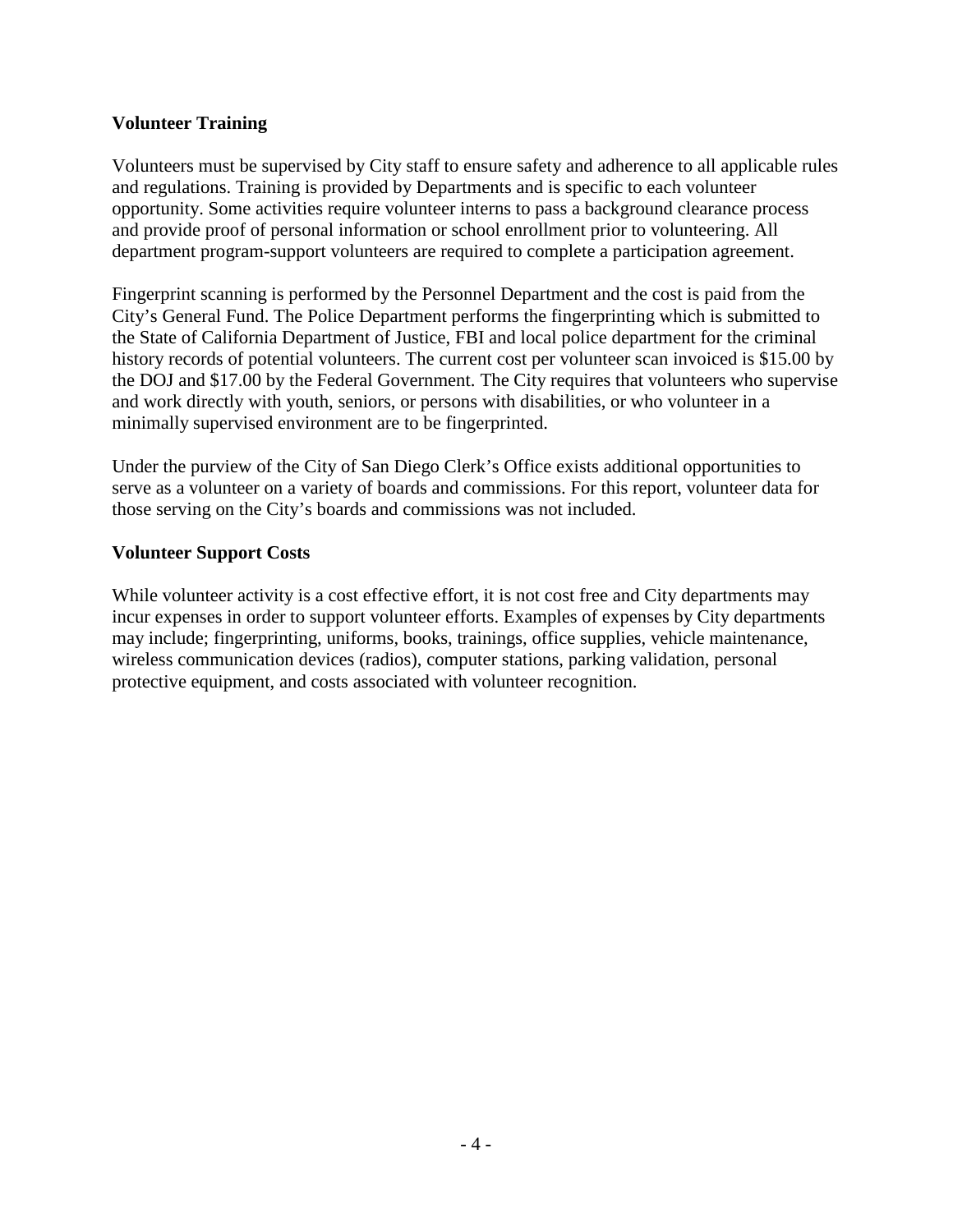#### **Volunteer Training**

Volunteers must be supervised by City staff to ensure safety and adherence to all applicable rules and regulations. Training is provided by Departments and is specific to each volunteer opportunity. Some activities require volunteer interns to pass a background clearance process and provide proof of personal information or school enrollment prior to volunteering. All department program-support volunteers are required to complete a participation agreement.

Fingerprint scanning is performed by the Personnel Department and the cost is paid from the City's General Fund. The Police Department performs the fingerprinting which is submitted to the State of California Department of Justice, FBI and local police department for the criminal history records of potential volunteers. The current cost per volunteer scan invoiced is \$15.00 by the DOJ and \$17.00 by the Federal Government. The City requires that volunteers who supervise and work directly with youth, seniors, or persons with disabilities, or who volunteer in a minimally supervised environment are to be fingerprinted.

Under the purview of the City of San Diego Clerk's Office exists additional opportunities to serve as a volunteer on a variety of boards and commissions. For this report, volunteer data for those serving on the City's boards and commissions was not included.

#### **Volunteer Support Costs**

While volunteer activity is a cost effective effort, it is not cost free and City departments may incur expenses in order to support volunteer efforts. Examples of expenses by City departments may include; fingerprinting, uniforms, books, trainings, office supplies, vehicle maintenance, wireless communication devices (radios), computer stations, parking validation, personal protective equipment, and costs associated with volunteer recognition.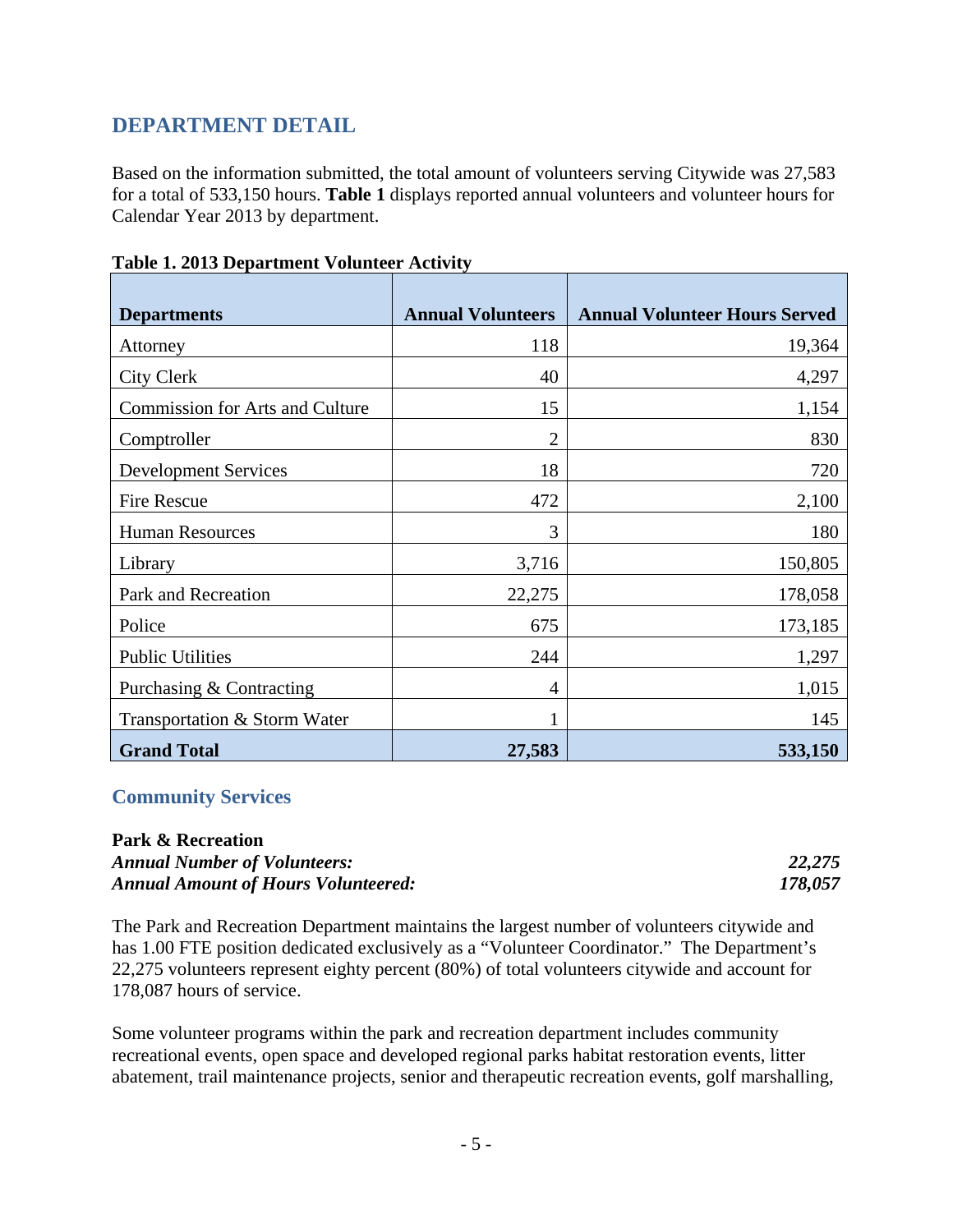# **DEPARTMENT DETAIL**

Based on the information submitted, the total amount of volunteers serving Citywide was 27,583 for a total of 533,150 hours. **Table 1** displays reported annual volunteers and volunteer hours for Calendar Year 2013 by department.

| <b>Departments</b>                     | <b>Annual Volunteers</b> | <b>Annual Volunteer Hours Served</b> |
|----------------------------------------|--------------------------|--------------------------------------|
|                                        |                          |                                      |
| Attorney                               | 118                      | 19,364                               |
| <b>City Clerk</b>                      | 40                       | 4,297                                |
| <b>Commission for Arts and Culture</b> | 15                       | 1,154                                |
| Comptroller                            | $\overline{2}$           | 830                                  |
| <b>Development Services</b>            | 18                       | 720                                  |
| <b>Fire Rescue</b>                     | 472                      | 2,100                                |
| <b>Human Resources</b>                 | 3                        | 180                                  |
| Library                                | 3,716                    | 150,805                              |
| Park and Recreation                    | 22,275                   | 178,058                              |
| Police                                 | 675                      | 173,185                              |
| <b>Public Utilities</b>                | 244                      | 1,297                                |
| Purchasing & Contracting               | 4                        | 1,015                                |
| Transportation & Storm Water           |                          | 145                                  |
| <b>Grand Total</b>                     | 27,583                   | 533,150                              |

**Table 1. 2013 Department Volunteer Activity**

#### **Community Services**

#### **Park & Recreation**  *Annual Number of Volunteers: 22,275 Annual Amount of Hours Volunteered: 178,057*

The Park and Recreation Department maintains the largest number of volunteers citywide and has 1.00 FTE position dedicated exclusively as a "Volunteer Coordinator." The Department's 22,275 volunteers represent eighty percent (80%) of total volunteers citywide and account for 178,087 hours of service.

Some volunteer programs within the park and recreation department includes community recreational events, open space and developed regional parks habitat restoration events, litter abatement, trail maintenance projects, senior and therapeutic recreation events, golf marshalling,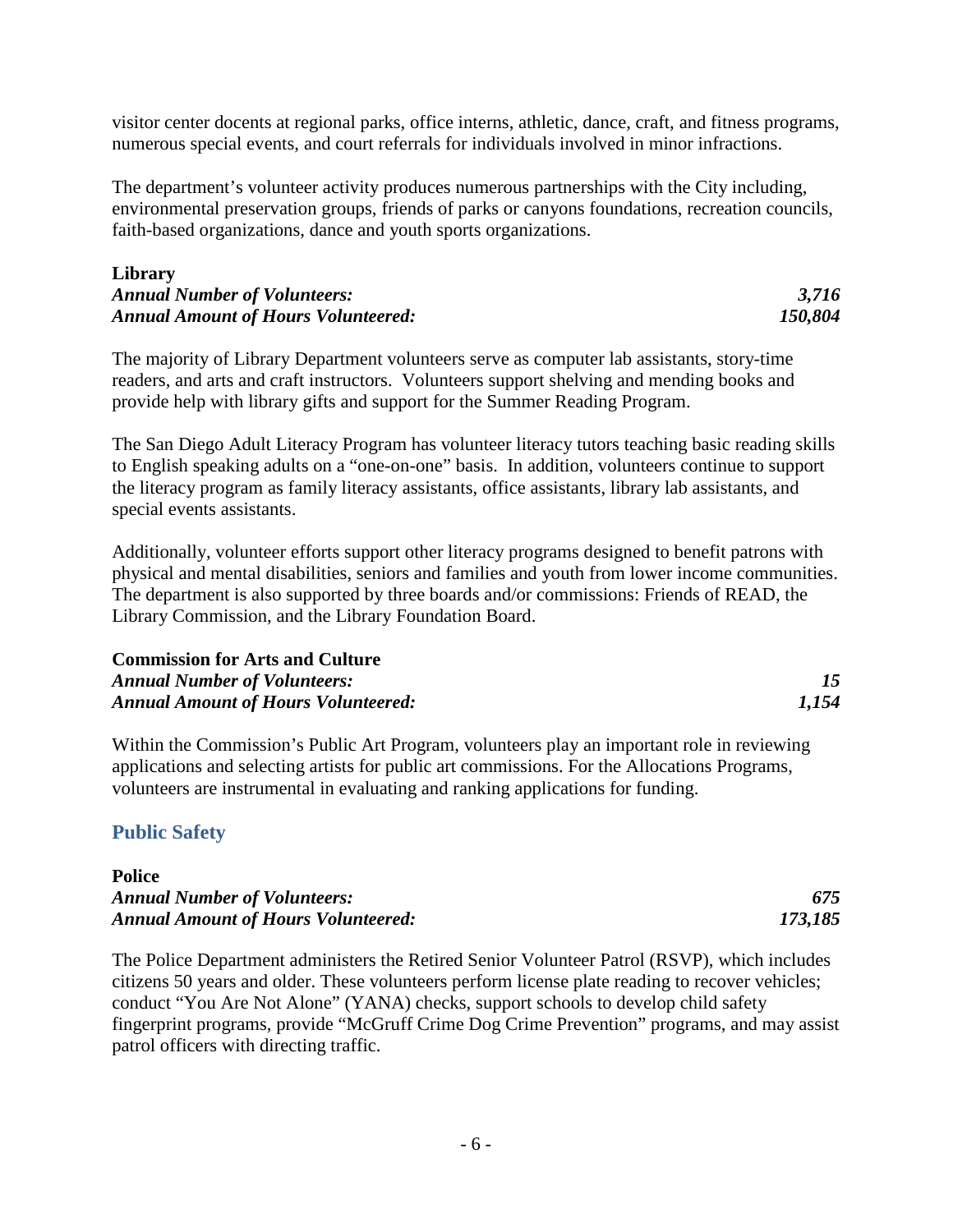visitor center docents at regional parks, office interns, athletic, dance, craft, and fitness programs, numerous special events, and court referrals for individuals involved in minor infractions.

The department's volunteer activity produces numerous partnerships with the City including, environmental preservation groups, friends of parks or canyons foundations, recreation councils, faith-based organizations, dance and youth sports organizations.

#### **Library** *Annual Number of Volunteers: 3,716 Annual Amount of Hours Volunteered: 150,804*

The majority of Library Department volunteers serve as computer lab assistants, story-time readers, and arts and craft instructors. Volunteers support shelving and mending books and provide help with library gifts and support for the Summer Reading Program.

The San Diego Adult Literacy Program has volunteer literacy tutors teaching basic reading skills to English speaking adults on a "one-on-one" basis. In addition, volunteers continue to support the literacy program as family literacy assistants, office assistants, library lab assistants, and special events assistants.

Additionally, volunteer efforts support other literacy programs designed to benefit patrons with physical and mental disabilities, seniors and families and youth from lower income communities. The department is also supported by three boards and/or commissions: Friends of READ, the Library Commission, and the Library Foundation Board.

| <b>Commission for Arts and Culture</b>     |       |
|--------------------------------------------|-------|
| <b>Annual Number of Volunteers:</b>        |       |
| <b>Annual Amount of Hours Volunteered:</b> | 1,154 |

Within the Commission's Public Art Program, volunteers play an important role in reviewing applications and selecting artists for public art commissions. For the Allocations Programs, volunteers are instrumental in evaluating and ranking applications for funding.

#### **Public Safety**

| <b>Police</b>                              |         |
|--------------------------------------------|---------|
| <b>Annual Number of Volunteers:</b>        | 675     |
| <b>Annual Amount of Hours Volunteered:</b> | 173,185 |

The Police Department administers the Retired Senior Volunteer Patrol (RSVP), which includes citizens 50 years and older. These volunteers perform license plate reading to recover vehicles; conduct "You Are Not Alone" (YANA) checks, support schools to develop child safety fingerprint programs, provide "McGruff Crime Dog Crime Prevention" programs, and may assist patrol officers with directing traffic.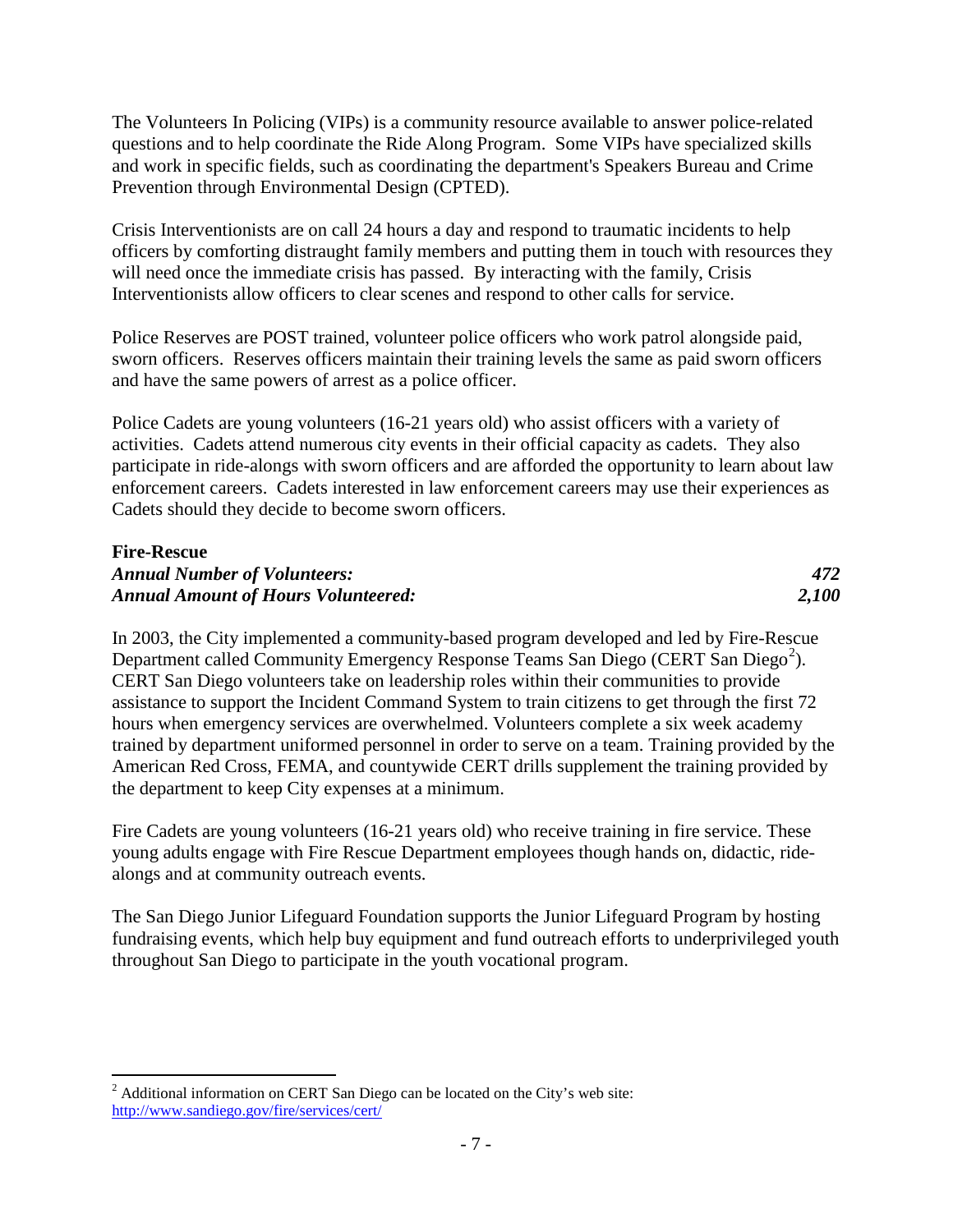The Volunteers In Policing (VIPs) is a community resource available to answer police-related questions and to help coordinate the Ride Along Program. Some VIPs have specialized skills and work in specific fields, such as coordinating the department's Speakers Bureau and Crime Prevention through Environmental Design (CPTED).

Crisis Interventionists are on call 24 hours a day and respond to traumatic incidents to help officers by comforting distraught family members and putting them in touch with resources they will need once the immediate crisis has passed. By interacting with the family, Crisis Interventionists allow officers to clear scenes and respond to other calls for service.

Police Reserves are POST trained, volunteer police officers who work patrol alongside paid, sworn officers. Reserves officers maintain their training levels the same as paid sworn officers and have the same powers of arrest as a police officer.

Police Cadets are young volunteers (16-21 years old) who assist officers with a variety of activities. Cadets attend numerous city events in their official capacity as cadets. They also participate in ride-alongs with sworn officers and are afforded the opportunity to learn about law enforcement careers. Cadets interested in law enforcement careers may use their experiences as Cadets should they decide to become sworn officers.

#### **Fire-Rescue** *Annual Number of Volunteers: 472 Annual Amount of Hours Volunteered: 2,100*

In 2003, the City implemented a community-based program developed and led by Fire-Rescue Department called Community Emergency Response Teams San Diego (CERT San Diego<sup>[2](#page-8-0)</sup>). CERT San Diego volunteers take on leadership roles within their communities to provide assistance to support the Incident Command System to train citizens to get through the first 72 hours when emergency services are overwhelmed. Volunteers complete a six week academy trained by department uniformed personnel in order to serve on a team. Training provided by the American Red Cross, FEMA, and countywide CERT drills supplement the training provided by the department to keep City expenses at a minimum.

Fire Cadets are young volunteers (16-21 years old) who receive training in fire service. These young adults engage with Fire Rescue Department employees though hands on, didactic, ridealongs and at community outreach events.

The San Diego Junior Lifeguard Foundation supports the Junior Lifeguard Program by hosting fundraising events, which help buy equipment and fund outreach efforts to underprivileged youth throughout San Diego to participate in the youth vocational program.

<span id="page-8-0"></span> $2$  Additional information on CERT San Diego can be located on the City's web site: <http://www.sandiego.gov/fire/services/cert/>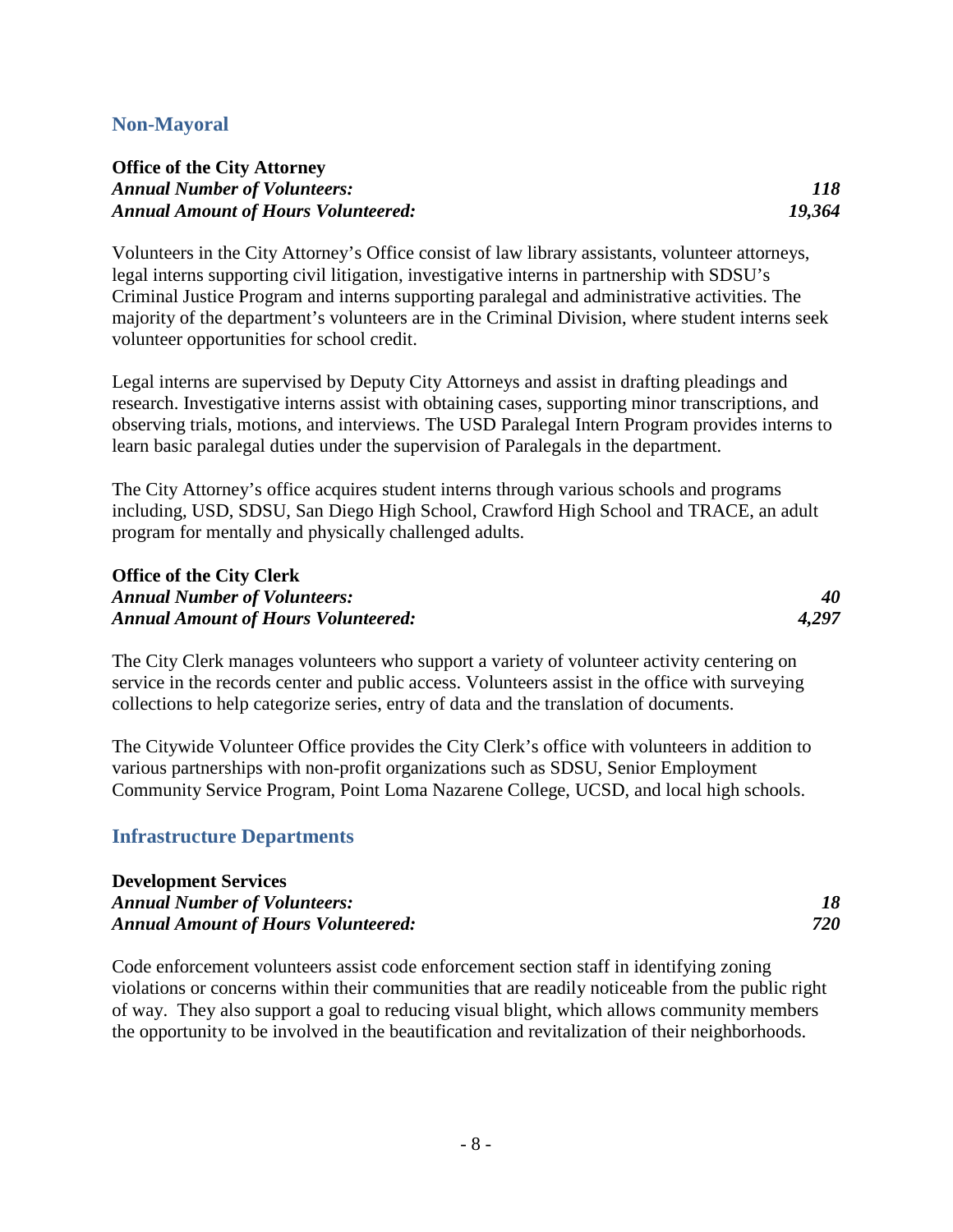#### **Non-Mayoral**

#### **Office of the City Attorney** *Annual Number of Volunteers: 118 Annual Amount of Hours Volunteered: 19,364*

Volunteers in the City Attorney's Office consist of law library assistants, volunteer attorneys, legal interns supporting civil litigation, investigative interns in partnership with SDSU's Criminal Justice Program and interns supporting paralegal and administrative activities. The majority of the department's volunteers are in the Criminal Division, where student interns seek volunteer opportunities for school credit.

Legal interns are supervised by Deputy City Attorneys and assist in drafting pleadings and research. Investigative interns assist with obtaining cases, supporting minor transcriptions, and observing trials, motions, and interviews. The USD Paralegal Intern Program provides interns to learn basic paralegal duties under the supervision of Paralegals in the department.

The City Attorney's office acquires student interns through various schools and programs including, USD, SDSU, San Diego High School, Crawford High School and TRACE, an adult program for mentally and physically challenged adults.

#### **Office of the City Clerk** *Annual Number of Volunteers: 40 Annual Amount of Hours Volunteered:*

The City Clerk manages volunteers who support a variety of volunteer activity centering on service in the records center and public access. Volunteers assist in the office with surveying collections to help categorize series, entry of data and the translation of documents.

The Citywide Volunteer Office provides the City Clerk's office with volunteers in addition to various partnerships with non-profit organizations such as SDSU, Senior Employment Community Service Program, Point Loma Nazarene College, UCSD, and local high schools.

#### **Infrastructure Departments**

| <b>Development Services</b>                |     |
|--------------------------------------------|-----|
| <b>Annual Number of Volunteers:</b>        |     |
| <b>Annual Amount of Hours Volunteered:</b> | 720 |

Code enforcement volunteers assist code enforcement section staff in identifying zoning violations or concerns within their communities that are readily noticeable from the public right of way. They also support a goal to reducing visual blight, which allows community members the opportunity to be involved in the beautification and revitalization of their neighborhoods.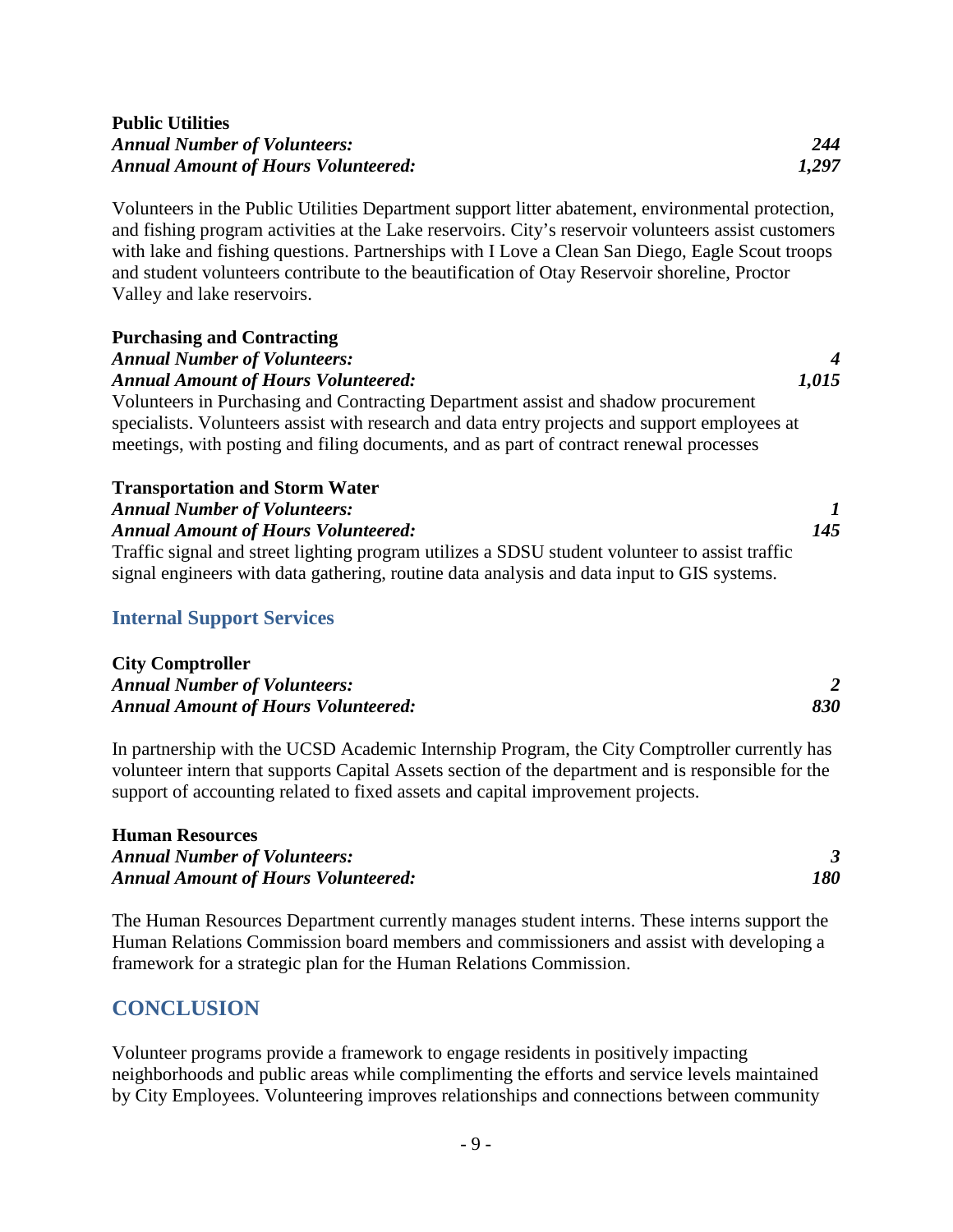#### **Public Utilities** *Annual Number of Volunteers: 244 Annual Amount of Hours Volunteered: 1,297*

Volunteers in the Public Utilities Department support litter abatement, environmental protection, and fishing program activities at the Lake reservoirs. City's reservoir volunteers assist customers with lake and fishing questions. Partnerships with I Love a Clean San Diego, Eagle Scout troops and student volunteers contribute to the beautification of Otay Reservoir shoreline, Proctor Valley and lake reservoirs.

# **Purchasing and Contracting** *Annual Number of Volunteers: 4 Annual Amount of Hours Volunteered: 1,015* Volunteers in Purchasing and Contracting Department assist and shadow procurement specialists. Volunteers assist with research and data entry projects and support employees at meetings, with posting and filing documents, and as part of contract renewal processes **Transportation and Storm Water**

*Annual Amount of Hours Volunteered: 145* Traffic signal and street lighting program utilizes a SDSU student volunteer to assist traffic signal engineers with data gathering, routine data analysis and data input to GIS systems.

*Annual Number of Volunteers: 1*

#### **Internal Support Services**

**City Comptroller** *Annual Number of Volunteers: 2 Annual Amount of Hours Volunteered: 830*

In partnership with the UCSD Academic Internship Program, the City Comptroller currently has volunteer intern that supports Capital Assets section of the department and is responsible for the support of accounting related to fixed assets and capital improvement projects.

#### **Human Resources**

*Annual Number of Volunteers: 3 Annual Amount of Hours Volunteered: 180*

The Human Resources Department currently manages student interns. These interns support the Human Relations Commission board members and commissioners and assist with developing a framework for a strategic plan for the Human Relations Commission.

#### **CONCLUSION**

Volunteer programs provide a framework to engage residents in positively impacting neighborhoods and public areas while complimenting the efforts and service levels maintained by City Employees. Volunteering improves relationships and connections between community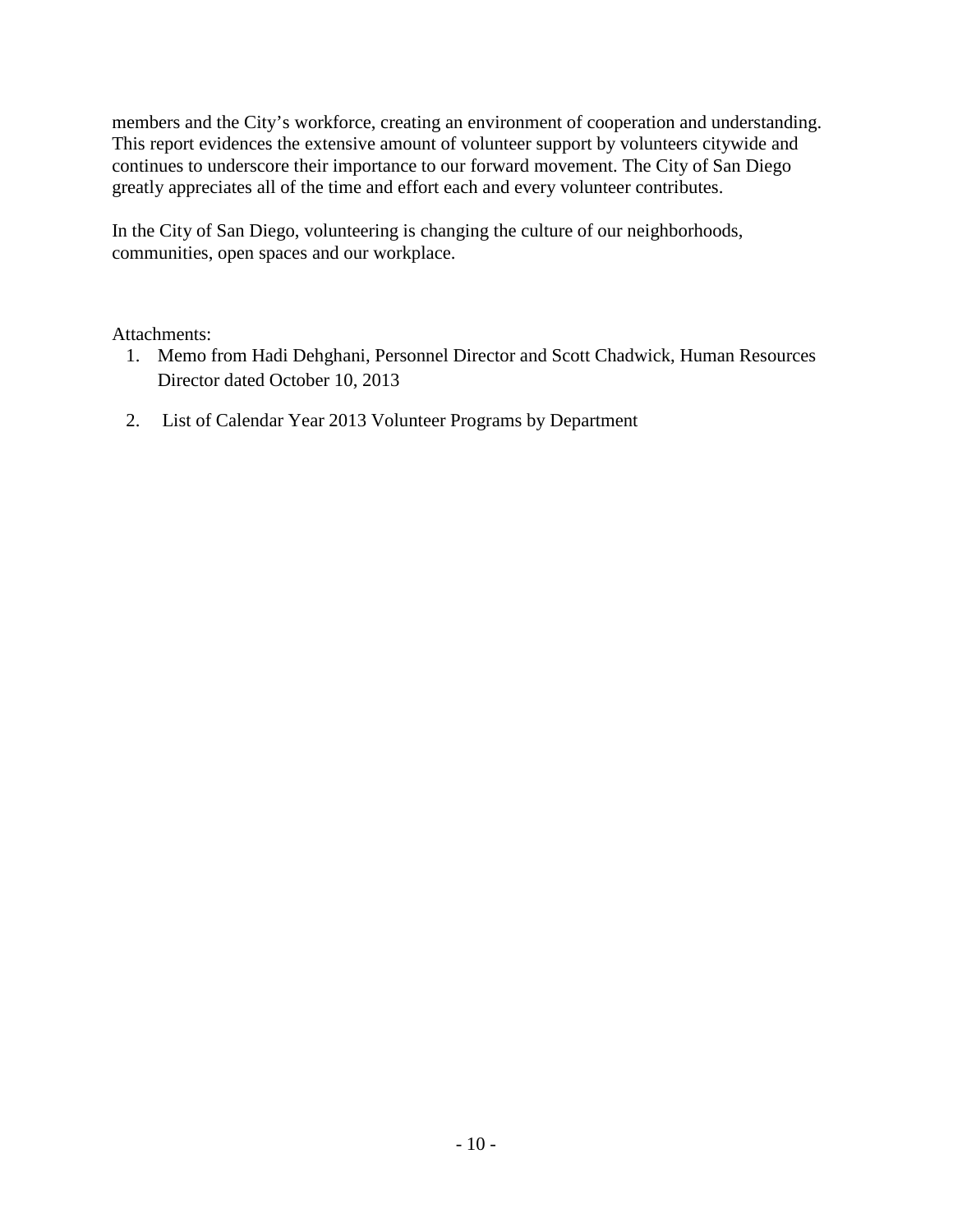members and the City's workforce, creating an environment of cooperation and understanding. This report evidences the extensive amount of volunteer support by volunteers citywide and continues to underscore their importance to our forward movement. The City of San Diego greatly appreciates all of the time and effort each and every volunteer contributes.

In the City of San Diego, volunteering is changing the culture of our neighborhoods, communities, open spaces and our workplace.

#### Attachments:

- 1. Memo from Hadi Dehghani, Personnel Director and Scott Chadwick, Human Resources Director dated October 10, 2013
- 2. List of Calendar Year 2013 Volunteer Programs by Department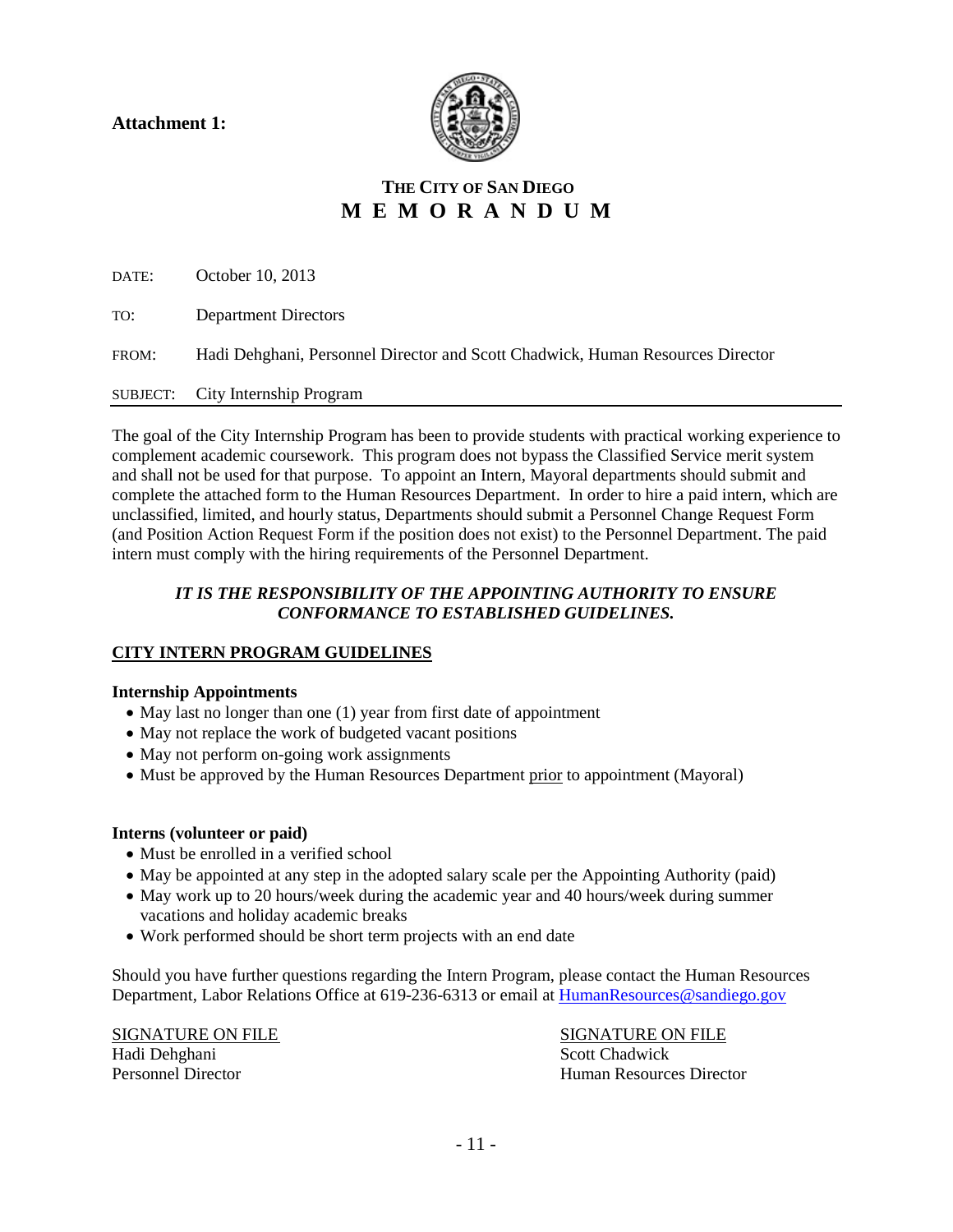**Attachment 1:** 



# **THE CITY OF SAN DIEGO M E M O R A N D U M**

DATE: October 10, 2013 TO: Department Directors FROM: Hadi Dehghani, Personnel Director and Scott Chadwick, Human Resources Director SUBJECT: City Internship Program

The goal of the City Internship Program has been to provide students with practical working experience to complement academic coursework. This program does not bypass the Classified Service merit system and shall not be used for that purpose. To appoint an Intern, Mayoral departments should submit and complete the attached form to the Human Resources Department. In order to hire a paid intern, which are unclassified, limited, and hourly status, Departments should submit a Personnel Change Request Form (and Position Action Request Form if the position does not exist) to the Personnel Department. The paid intern must comply with the hiring requirements of the Personnel Department.

#### *IT IS THE RESPONSIBILITY OF THE APPOINTING AUTHORITY TO ENSURE CONFORMANCE TO ESTABLISHED GUIDELINES.*

#### **CITY INTERN PROGRAM GUIDELINES**

#### **Internship Appointments**

- May last no longer than one (1) year from first date of appointment
- May not replace the work of budgeted vacant positions
- May not perform on-going work assignments
- Must be approved by the Human Resources Department prior to appointment (Mayoral)

#### **Interns (volunteer or paid)**

- Must be enrolled in a verified school
- May be appointed at any step in the adopted salary scale per the Appointing Authority (paid)
- May work up to 20 hours/week during the academic year and 40 hours/week during summer vacations and holiday academic breaks
- Work performed should be short term projects with an end date

Should you have further questions regarding the Intern Program, please contact the Human Resources Department, Labor Relations Office at 619-236-6313 or email at [HumanResources@sandiego.gov](mailto:HumanResources@sandiego.gov)

Hadi Dehghani Scott Chadwick<br>Personnel Director Scott Chadwick<br>Human Resource

SIGNATURE ON FILE SIGNATURE ON FILE Personnel Director Human Resources Director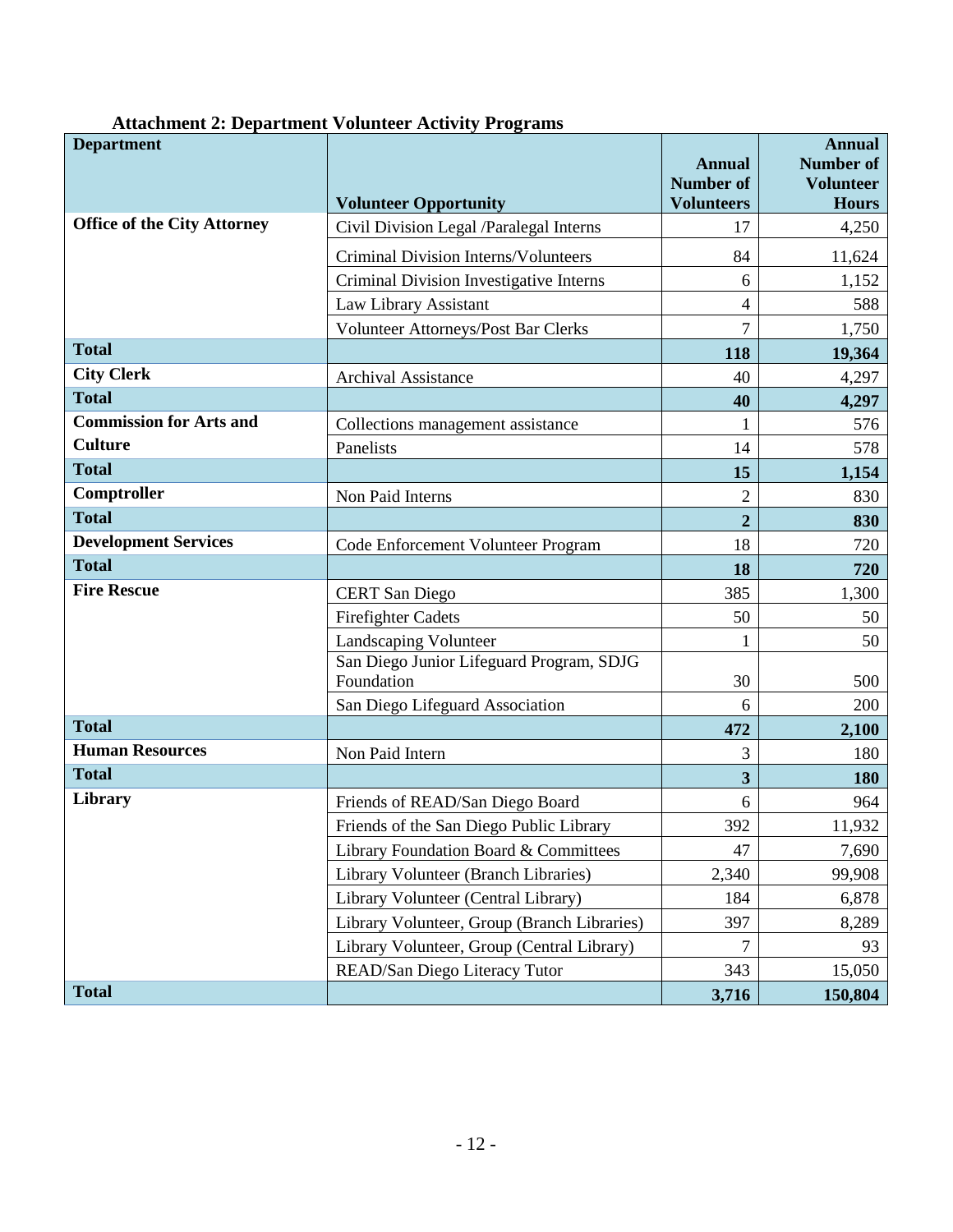| <b>Department</b>                  | <b>Volunteer Opportunity</b>                           | <b>Annual</b><br><b>Number of</b><br><b>Volunteers</b> | <b>Annual</b><br><b>Number of</b><br><b>Volunteer</b><br><b>Hours</b> |
|------------------------------------|--------------------------------------------------------|--------------------------------------------------------|-----------------------------------------------------------------------|
| <b>Office of the City Attorney</b> | Civil Division Legal /Paralegal Interns                | 17                                                     | 4,250                                                                 |
|                                    | Criminal Division Interns/Volunteers                   | 84                                                     | 11,624                                                                |
|                                    | Criminal Division Investigative Interns                | 6                                                      | 1,152                                                                 |
|                                    | Law Library Assistant                                  | 4                                                      | 588                                                                   |
|                                    | Volunteer Attorneys/Post Bar Clerks                    | 7                                                      | 1,750                                                                 |
| <b>Total</b>                       |                                                        | 118                                                    | 19,364                                                                |
| <b>City Clerk</b>                  | <b>Archival Assistance</b>                             | 40                                                     | 4,297                                                                 |
| <b>Total</b>                       |                                                        | 40                                                     | 4,297                                                                 |
| <b>Commission for Arts and</b>     | Collections management assistance                      | 1                                                      | 576                                                                   |
| <b>Culture</b>                     | Panelists                                              | 14                                                     | 578                                                                   |
| <b>Total</b>                       |                                                        | 15                                                     | 1,154                                                                 |
| Comptroller                        | Non Paid Interns                                       | $\overline{c}$                                         | 830                                                                   |
| <b>Total</b>                       |                                                        | $\overline{2}$                                         | 830                                                                   |
| <b>Development Services</b>        | Code Enforcement Volunteer Program                     | 18                                                     | 720                                                                   |
| <b>Total</b>                       |                                                        | 18                                                     | 720                                                                   |
| <b>Fire Rescue</b>                 | <b>CERT</b> San Diego                                  | 385                                                    | 1,300                                                                 |
|                                    | <b>Firefighter Cadets</b>                              | 50                                                     | 50                                                                    |
|                                    | Landscaping Volunteer                                  | 1                                                      | 50                                                                    |
|                                    | San Diego Junior Lifeguard Program, SDJG<br>Foundation | 30                                                     | 500                                                                   |
|                                    | San Diego Lifeguard Association                        | 6                                                      | 200                                                                   |
| <b>Total</b>                       |                                                        | 472                                                    | 2,100                                                                 |
| <b>Human Resources</b>             | Non Paid Intern                                        | 3                                                      | 180                                                                   |
| <b>Total</b>                       |                                                        | 3                                                      | <b>180</b>                                                            |
| Library                            | Friends of READ/San Diego Board                        | 6                                                      | 964                                                                   |
|                                    | Friends of the San Diego Public Library                | 392                                                    | 11,932                                                                |
|                                    | Library Foundation Board & Committees                  | 47                                                     | 7,690                                                                 |
|                                    | Library Volunteer (Branch Libraries)                   | 2,340                                                  | 99,908                                                                |
|                                    | Library Volunteer (Central Library)                    | 184                                                    | 6,878                                                                 |
|                                    | Library Volunteer, Group (Branch Libraries)            | 397                                                    | 8,289                                                                 |
|                                    | Library Volunteer, Group (Central Library)             | $\overline{7}$                                         | 93                                                                    |
|                                    | READ/San Diego Literacy Tutor                          | 343                                                    | 15,050                                                                |
| <b>Total</b>                       |                                                        | 3,716                                                  | 150,804                                                               |

#### **Attachment 2: Department Volunteer Activity Programs**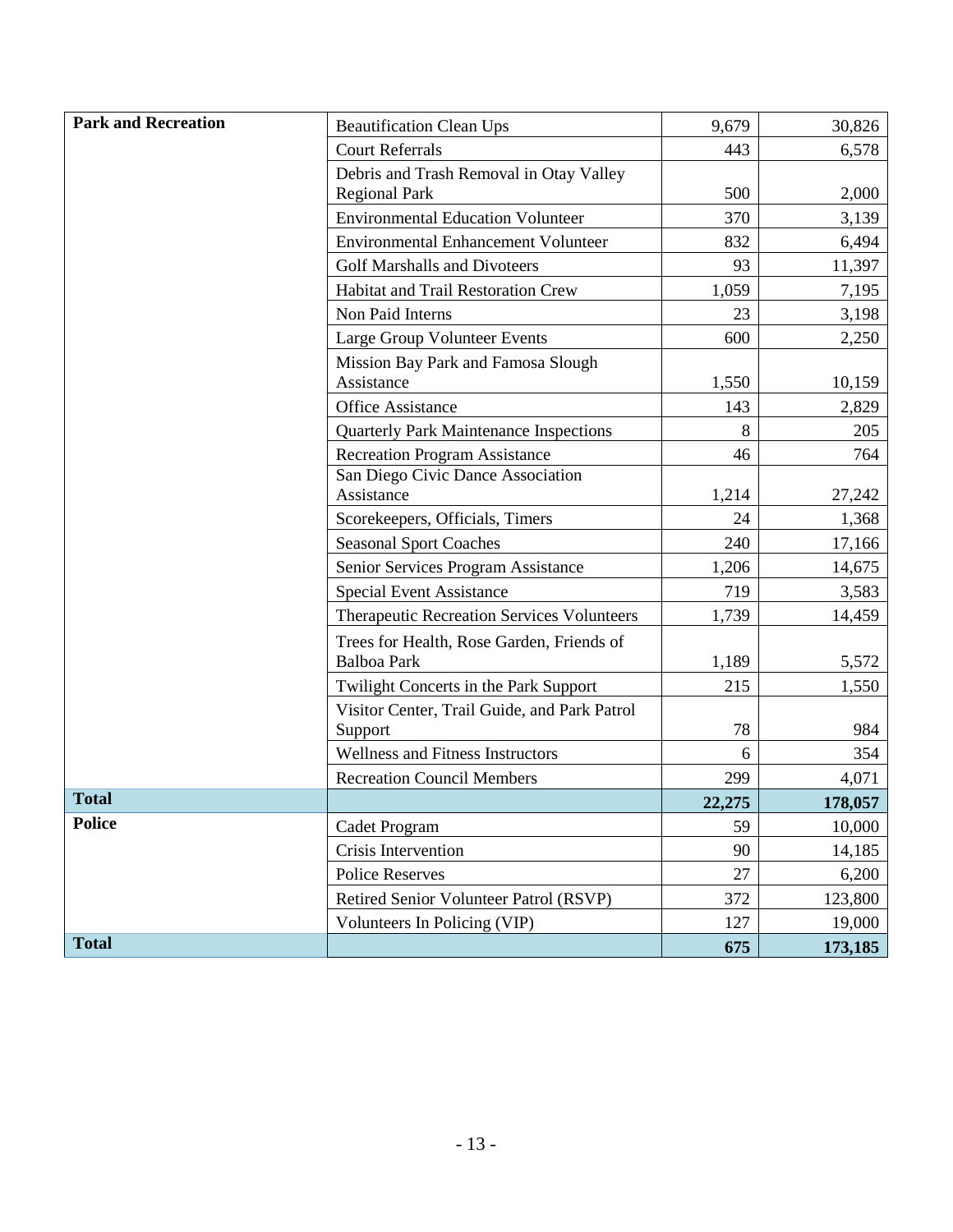| <b>Park and Recreation</b> | <b>Beautification Clean Ups</b>                          | 9,679  | 30,826  |
|----------------------------|----------------------------------------------------------|--------|---------|
|                            | <b>Court Referrals</b>                                   | 443    | 6,578   |
|                            | Debris and Trash Removal in Otay Valley                  |        |         |
|                            | <b>Regional Park</b>                                     | 500    | 2,000   |
|                            | <b>Environmental Education Volunteer</b>                 | 370    | 3,139   |
|                            | <b>Environmental Enhancement Volunteer</b>               | 832    | 6,494   |
|                            | <b>Golf Marshalls and Divoteers</b>                      | 93     | 11,397  |
|                            | Habitat and Trail Restoration Crew                       | 1,059  | 7,195   |
|                            | Non Paid Interns                                         | 23     | 3,198   |
|                            | Large Group Volunteer Events                             | 600    | 2,250   |
|                            | Mission Bay Park and Famosa Slough<br>Assistance         | 1,550  | 10,159  |
|                            | <b>Office Assistance</b>                                 | 143    | 2,829   |
|                            | <b>Quarterly Park Maintenance Inspections</b>            | 8      | 205     |
|                            | <b>Recreation Program Assistance</b>                     | 46     | 764     |
|                            | San Diego Civic Dance Association                        |        |         |
|                            | Assistance                                               | 1,214  | 27,242  |
|                            | Scorekeepers, Officials, Timers                          | 24     | 1,368   |
|                            | <b>Seasonal Sport Coaches</b>                            | 240    | 17,166  |
|                            | Senior Services Program Assistance                       | 1,206  | 14,675  |
|                            | Special Event Assistance                                 | 719    | 3,583   |
|                            | Therapeutic Recreation Services Volunteers               | 1,739  | 14,459  |
|                            | Trees for Health, Rose Garden, Friends of<br>Balboa Park | 1,189  | 5,572   |
|                            | Twilight Concerts in the Park Support                    | 215    | 1,550   |
|                            | Visitor Center, Trail Guide, and Park Patrol<br>Support  | 78     | 984     |
|                            | <b>Wellness and Fitness Instructors</b>                  | 6      | 354     |
|                            | <b>Recreation Council Members</b>                        | 299    | 4,071   |
| <b>Total</b>               |                                                          | 22,275 | 178,057 |
| <b>Police</b>              | Cadet Program                                            | 59     | 10,000  |
|                            | Crisis Intervention                                      | 90     | 14,185  |
|                            | <b>Police Reserves</b>                                   | 27     | 6,200   |
|                            | Retired Senior Volunteer Patrol (RSVP)                   | 372    | 123,800 |
|                            | Volunteers In Policing (VIP)                             | 127    | 19,000  |
| <b>Total</b>               |                                                          | 675    | 173,185 |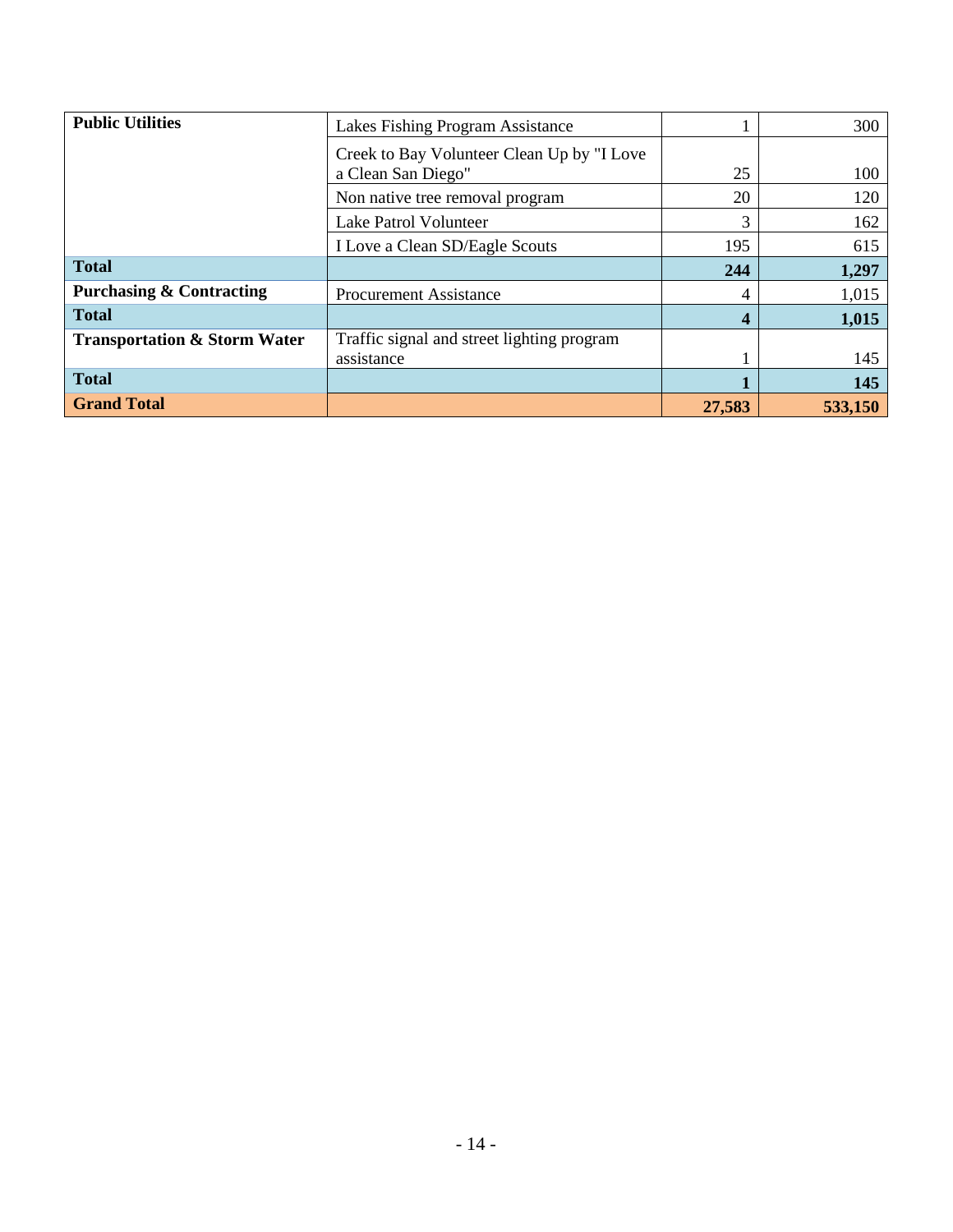| <b>Public Utilities</b>                 | Lakes Fishing Program Assistance           |     | 300   |
|-----------------------------------------|--------------------------------------------|-----|-------|
|                                         | Creek to Bay Volunteer Clean Up by "I Love |     |       |
|                                         | a Clean San Diego"                         | 25  | 100   |
|                                         | Non native tree removal program            | 20  | 120   |
|                                         | Lake Patrol Volunteer                      | 3   | 162   |
|                                         | I Love a Clean SD/Eagle Scouts             | 195 | 615   |
| <b>Total</b>                            |                                            | 244 | 1,297 |
| <b>Purchasing &amp; Contracting</b>     | <b>Procurement Assistance</b>              | 4   | 1,015 |
| <b>Total</b>                            |                                            | 4   | 1,015 |
| <b>Transportation &amp; Storm Water</b> | Traffic signal and street lighting program |     |       |
|                                         | assistance                                 |     | 145   |
| <b>Total</b>                            |                                            |     | 145   |
|                                         |                                            |     |       |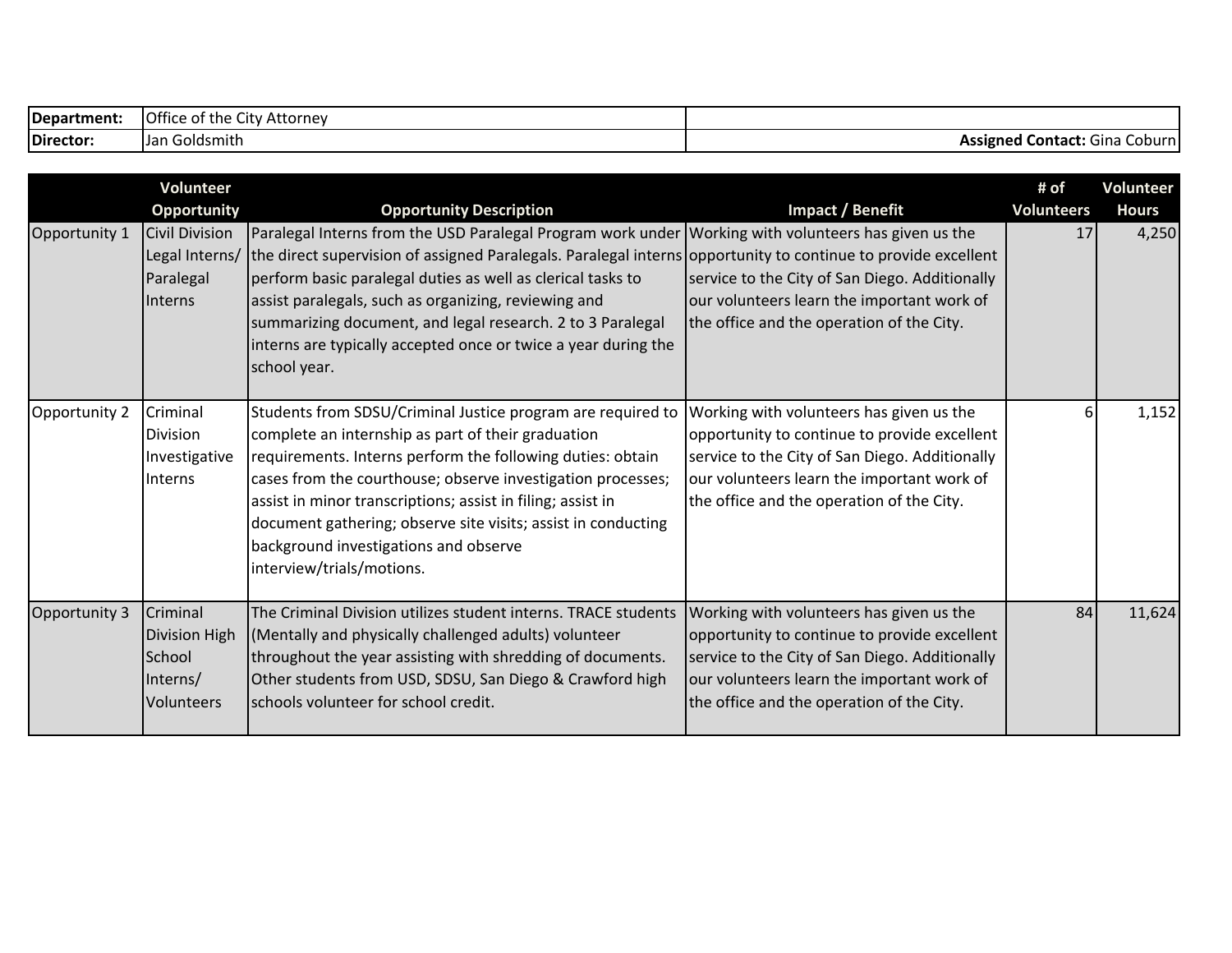| Department: | <b>Office</b><br>$\sim$<br>City Attorney<br>of the |                                                       |
|-------------|----------------------------------------------------|-------------------------------------------------------|
| Director:   | Goldsmith<br>Jan                                   | <b>I Contact:</b> Gina<br>Coburn<br><b>Assigned</b> C |

|               | Volunteer                                                                                    |                                                                                                                                                                                                                                                                                                                                                                                                                                                                                                                                |                                                                                                                                                                                                                                       | # of                    | <b>Volunteer</b>      |
|---------------|----------------------------------------------------------------------------------------------|--------------------------------------------------------------------------------------------------------------------------------------------------------------------------------------------------------------------------------------------------------------------------------------------------------------------------------------------------------------------------------------------------------------------------------------------------------------------------------------------------------------------------------|---------------------------------------------------------------------------------------------------------------------------------------------------------------------------------------------------------------------------------------|-------------------------|-----------------------|
| Opportunity 1 | <b>Opportunity</b><br><b>Civil Division</b><br>Legal Interns/<br>Paralegal<br><b>Interns</b> | <b>Opportunity Description</b><br>Paralegal Interns from the USD Paralegal Program work under Working with volunteers has given us the<br>the direct supervision of assigned Paralegals. Paralegal interns opportunity to continue to provide excellent<br>perform basic paralegal duties as well as clerical tasks to<br>assist paralegals, such as organizing, reviewing and<br>summarizing document, and legal research. 2 to 3 Paralegal<br>interns are typically accepted once or twice a year during the<br>school year. | Impact / Benefit<br>service to the City of San Diego. Additionally<br>our volunteers learn the important work of<br>the office and the operation of the City.                                                                         | <b>Volunteers</b><br>17 | <b>Hours</b><br>4,250 |
| Opportunity 2 | Criminal<br><b>Division</b><br>Investigative<br>Interns                                      | Students from SDSU/Criminal Justice program are required to<br>complete an internship as part of their graduation<br>requirements. Interns perform the following duties: obtain<br>cases from the courthouse; observe investigation processes;<br>assist in minor transcriptions; assist in filing; assist in<br>document gathering; observe site visits; assist in conducting<br>background investigations and observe<br>interview/trials/motions.                                                                           | Working with volunteers has given us the<br>opportunity to continue to provide excellent<br>service to the City of San Diego. Additionally<br>our volunteers learn the important work of<br>the office and the operation of the City. |                         | 1,152                 |
| Opportunity 3 | Criminal<br><b>Division High</b><br>School<br>Interns/<br>Volunteers                         | The Criminal Division utilizes student interns. TRACE students<br>(Mentally and physically challenged adults) volunteer<br>throughout the year assisting with shredding of documents.<br>Other students from USD, SDSU, San Diego & Crawford high<br>schools volunteer for school credit.                                                                                                                                                                                                                                      | Working with volunteers has given us the<br>opportunity to continue to provide excellent<br>service to the City of San Diego. Additionally<br>our volunteers learn the important work of<br>the office and the operation of the City. | 84                      | 11,624                |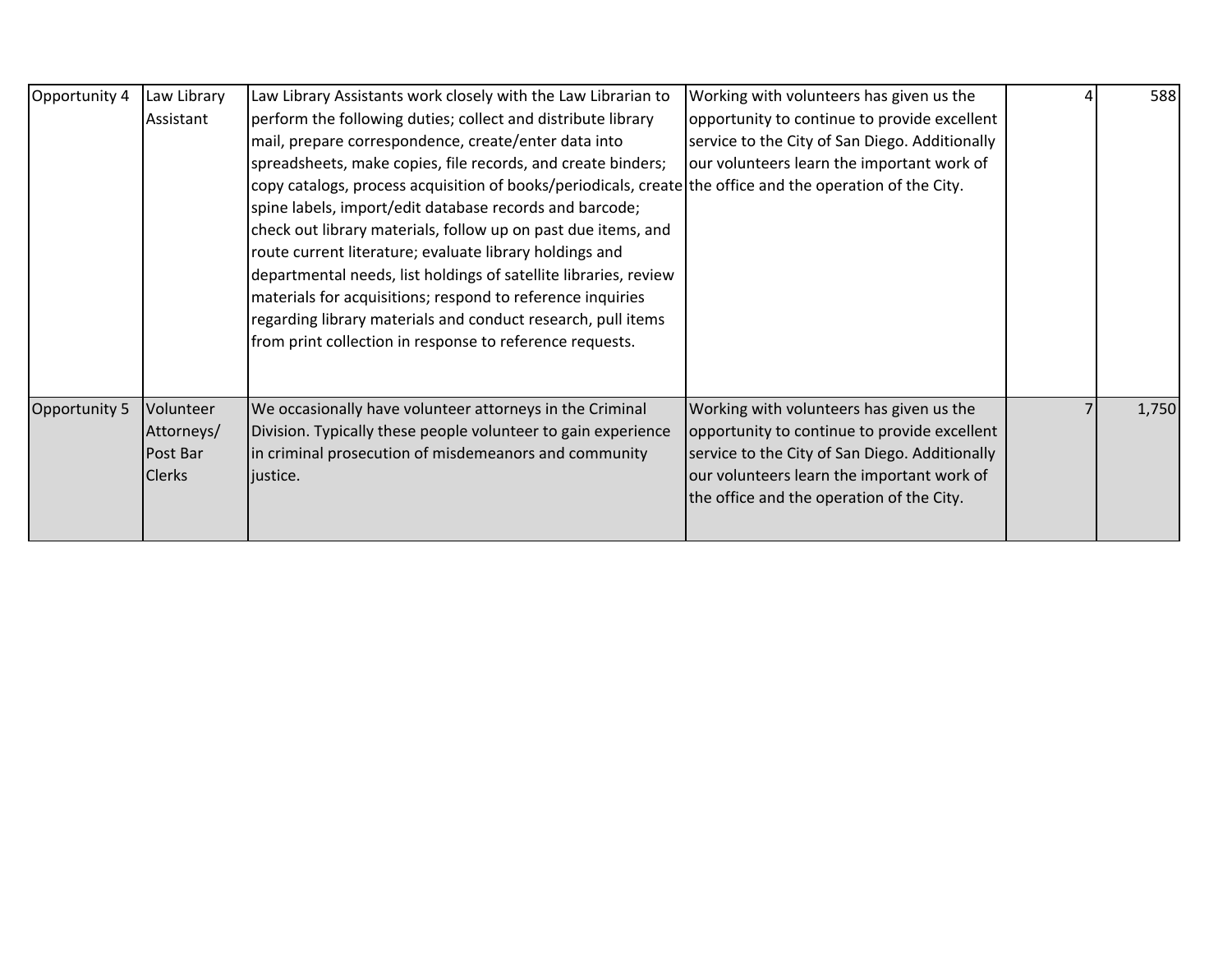| Opportunity 4 | Law Library<br>Assistant                             | Law Library Assistants work closely with the Law Librarian to<br>perform the following duties; collect and distribute library<br>mail, prepare correspondence, create/enter data into<br>spreadsheets, make copies, file records, and create binders;<br>copy catalogs, process acquisition of books/periodicals, create the office and the operation of the City.<br>spine labels, import/edit database records and barcode;<br>check out library materials, follow up on past due items, and<br>route current literature; evaluate library holdings and<br>departmental needs, list holdings of satellite libraries, review<br>materials for acquisitions; respond to reference inquiries<br>regarding library materials and conduct research, pull items<br>from print collection in response to reference requests. | Working with volunteers has given us the<br>opportunity to continue to provide excellent<br>service to the City of San Diego. Additionally<br>our volunteers learn the important work of                                              | 588   |
|---------------|------------------------------------------------------|-------------------------------------------------------------------------------------------------------------------------------------------------------------------------------------------------------------------------------------------------------------------------------------------------------------------------------------------------------------------------------------------------------------------------------------------------------------------------------------------------------------------------------------------------------------------------------------------------------------------------------------------------------------------------------------------------------------------------------------------------------------------------------------------------------------------------|---------------------------------------------------------------------------------------------------------------------------------------------------------------------------------------------------------------------------------------|-------|
| Opportunity 5 | Volunteer<br>Attorneys/<br>Post Bar<br><b>Clerks</b> | We occasionally have volunteer attorneys in the Criminal<br>Division. Typically these people volunteer to gain experience<br>in criminal prosecution of misdemeanors and community<br>liustice.                                                                                                                                                                                                                                                                                                                                                                                                                                                                                                                                                                                                                         | Working with volunteers has given us the<br>opportunity to continue to provide excellent<br>service to the City of San Diego. Additionally<br>our volunteers learn the important work of<br>the office and the operation of the City. | 1,750 |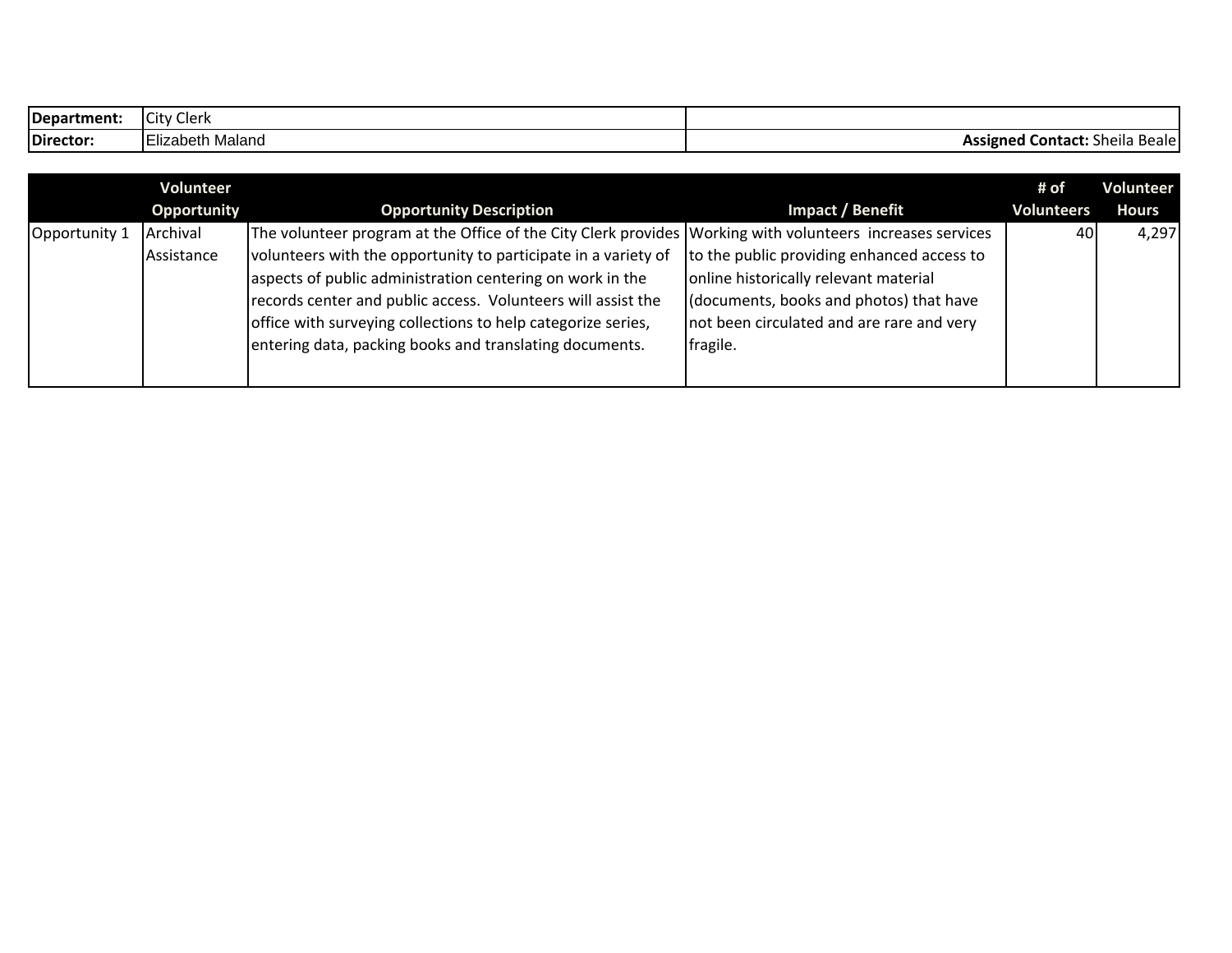| Department: | Clerk<br><b>City</b>          |                                                 |
|-------------|-------------------------------|-------------------------------------------------|
| Director:   | $- \cdot$<br>Elizabeth Maland | <b>Assigned Contact:</b><br>. Beale !<br>sheila |

|               | Volunteer   |                                                                                                           |                                            | # of              | Volunteer    |
|---------------|-------------|-----------------------------------------------------------------------------------------------------------|--------------------------------------------|-------------------|--------------|
|               | Opportunity | <b>Opportunity Description</b>                                                                            | Impact / Benefit                           | <b>Volunteers</b> | <b>Hours</b> |
| Opportunity 1 | Archival    | The volunteer program at the Office of the City Clerk provides Working with volunteers increases services |                                            | 40                | 4,297        |
|               | Assistance  | volunteers with the opportunity to participate in a variety of                                            | to the public providing enhanced access to |                   |              |
|               |             | aspects of public administration centering on work in the                                                 | online historically relevant material      |                   |              |
|               |             | records center and public access. Volunteers will assist the                                              | (documents, books and photos) that have    |                   |              |
|               |             | office with surveying collections to help categorize series,                                              | not been circulated and are rare and very  |                   |              |
|               |             | entering data, packing books and translating documents.                                                   | fragile.                                   |                   |              |
|               |             |                                                                                                           |                                            |                   |              |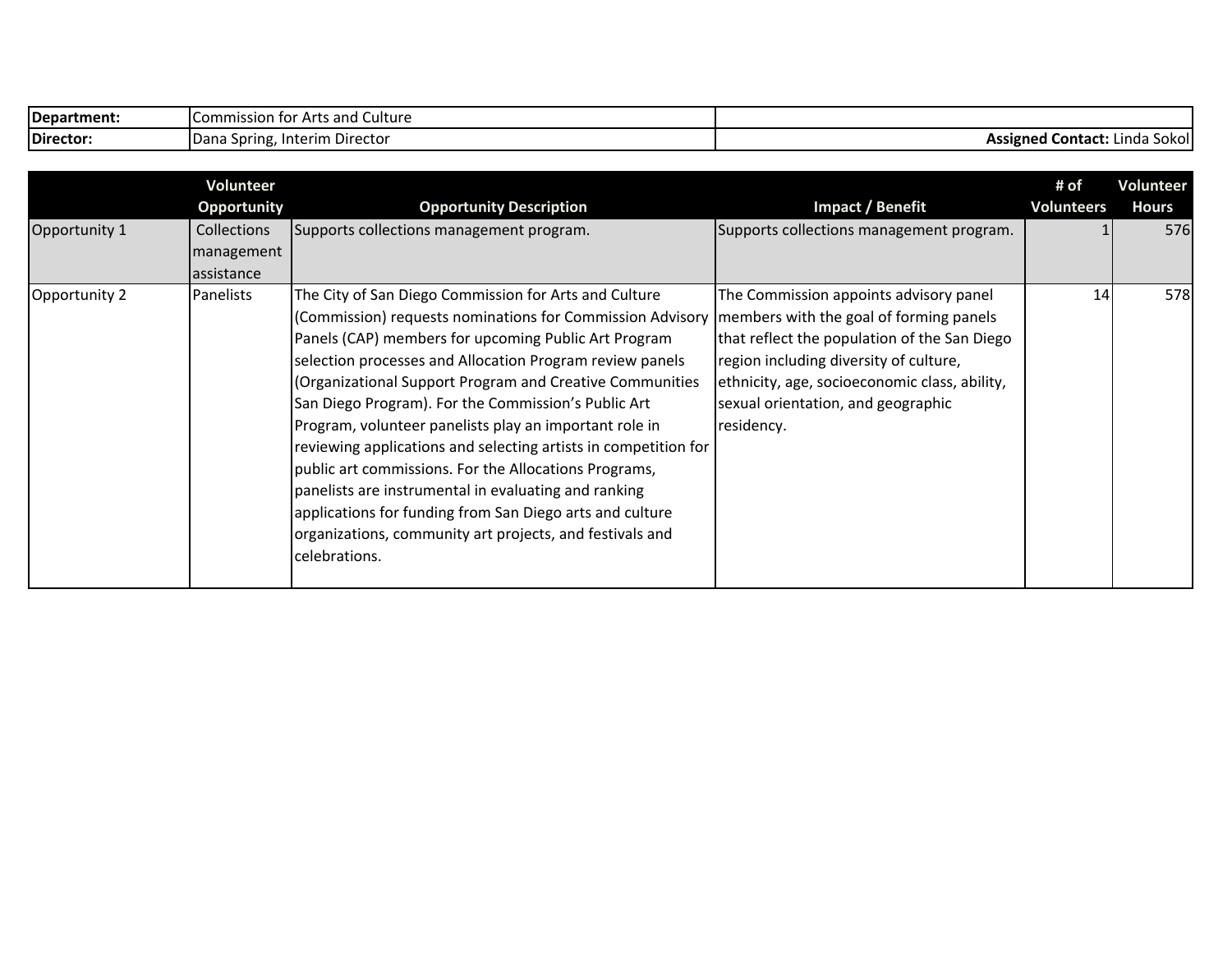| Department: | f Arts and Culture -<br>Commission for " |                                         |
|-------------|------------------------------------------|-----------------------------------------|
| Director:   | - Interim Director<br>Dana Spring, In    | ' Contact.<br>Sokol<br>Assigned<br>'nda |

|               | Volunteer<br>Opportunity                       | <b>Opportunity Description</b>                                                                                                                                                                                                                                                                                                                                                                                                                                                                                                                                                                                                                                                                                                                                                             | Impact / Benefit                                                                                                                                                                                                                      | # of<br><b>Volunteers</b> | Volunteer<br><b>Hours</b> |
|---------------|------------------------------------------------|--------------------------------------------------------------------------------------------------------------------------------------------------------------------------------------------------------------------------------------------------------------------------------------------------------------------------------------------------------------------------------------------------------------------------------------------------------------------------------------------------------------------------------------------------------------------------------------------------------------------------------------------------------------------------------------------------------------------------------------------------------------------------------------------|---------------------------------------------------------------------------------------------------------------------------------------------------------------------------------------------------------------------------------------|---------------------------|---------------------------|
| Opportunity 1 | <b>Collections</b><br>management<br>assistance | Supports collections management program.                                                                                                                                                                                                                                                                                                                                                                                                                                                                                                                                                                                                                                                                                                                                                   | Supports collections management program.                                                                                                                                                                                              |                           | 576                       |
| Opportunity 2 | Panelists                                      | The City of San Diego Commission for Arts and Culture<br>(Commission) requests nominations for Commission Advisory   members with the goal of forming panels<br>Panels (CAP) members for upcoming Public Art Program<br>selection processes and Allocation Program review panels<br>(Organizational Support Program and Creative Communities<br>San Diego Program). For the Commission's Public Art<br>Program, volunteer panelists play an important role in<br>reviewing applications and selecting artists in competition for<br>public art commissions. For the Allocations Programs,<br>panelists are instrumental in evaluating and ranking<br>applications for funding from San Diego arts and culture<br>organizations, community art projects, and festivals and<br>celebrations. | The Commission appoints advisory panel<br>that reflect the population of the San Diego<br>region including diversity of culture,<br>ethnicity, age, socioeconomic class, ability,<br>sexual orientation, and geographic<br>residency. | 14                        | 578                       |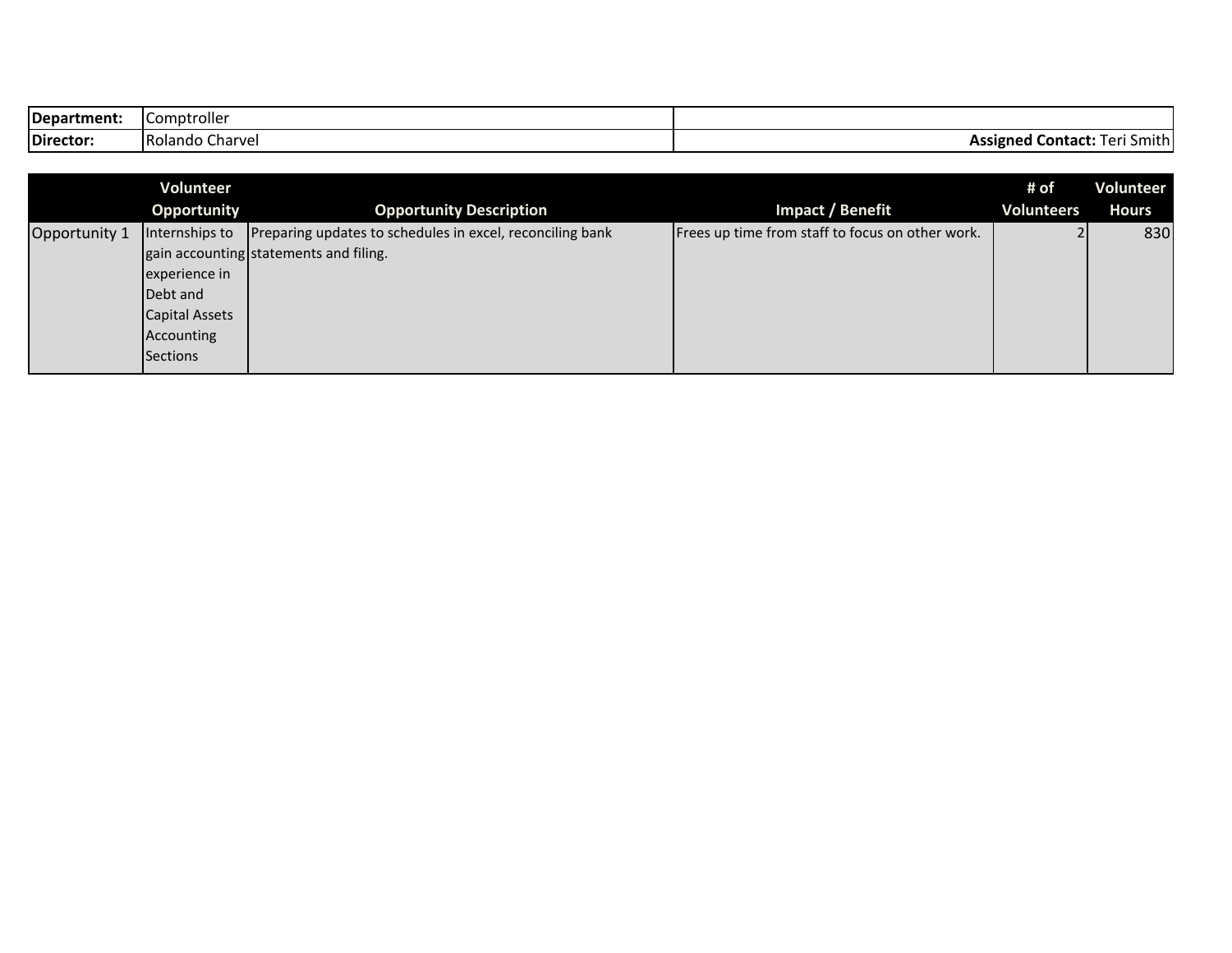| Department: | .<br>Comptroller   |                                            |
|-------------|--------------------|--------------------------------------------|
| Director:   | Rolando<br>Charvel | <b>Assigned Contact:</b><br>Smithl<br>ı er |

|               | Volunteer      |                                                           |                                                  | # of              | Volunteer    |
|---------------|----------------|-----------------------------------------------------------|--------------------------------------------------|-------------------|--------------|
|               | Opportunity    | <b>Opportunity Description</b>                            | Impact / Benefit                                 | <b>Volunteers</b> | <b>Hours</b> |
| Opportunity 1 | Internships to | Preparing updates to schedules in excel, reconciling bank | Frees up time from staff to focus on other work. |                   | 830          |
|               |                | gain accounting statements and filing.                    |                                                  |                   |              |
|               | experience in  |                                                           |                                                  |                   |              |
|               | Debt and       |                                                           |                                                  |                   |              |
|               | Capital Assets |                                                           |                                                  |                   |              |
|               | Accounting     |                                                           |                                                  |                   |              |
|               | Sections       |                                                           |                                                  |                   |              |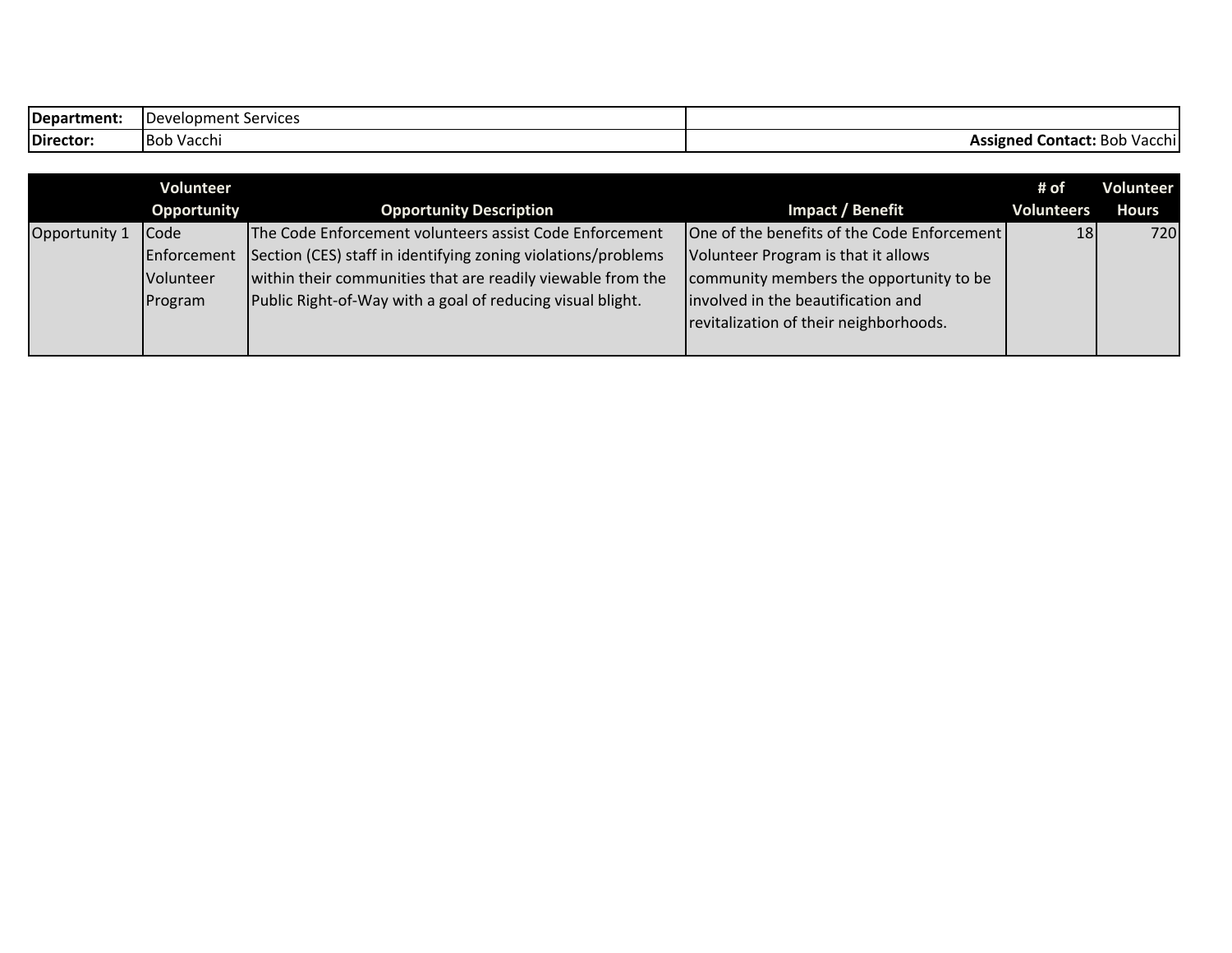| Department: | IDevelopment Services |                                     |
|-------------|-----------------------|-------------------------------------|
| Director:   | ⊦Vacchi<br>Bob        | <b>Assigned Contact:</b> Bob Vacchi |

|               | Volunteer        |                                                               |                                             | # of              | Volunteer    |
|---------------|------------------|---------------------------------------------------------------|---------------------------------------------|-------------------|--------------|
|               | Opportunity      | <b>Opportunity Description</b>                                | Impact / Benefit                            | <b>Volunteers</b> | <b>Hours</b> |
| Opportunity 1 | Code             | The Code Enforcement volunteers assist Code Enforcement       | One of the benefits of the Code Enforcement | 18                | 720          |
|               | Enforcement      | Section (CES) staff in identifying zoning violations/problems | Volunteer Program is that it allows         |                   |              |
|               | <b>Volunteer</b> | within their communities that are readily viewable from the   | community members the opportunity to be     |                   |              |
|               | Program          | Public Right-of-Way with a goal of reducing visual blight.    | involved in the beautification and          |                   |              |
|               |                  |                                                               | revitalization of their neighborhoods.      |                   |              |
|               |                  |                                                               |                                             |                   |              |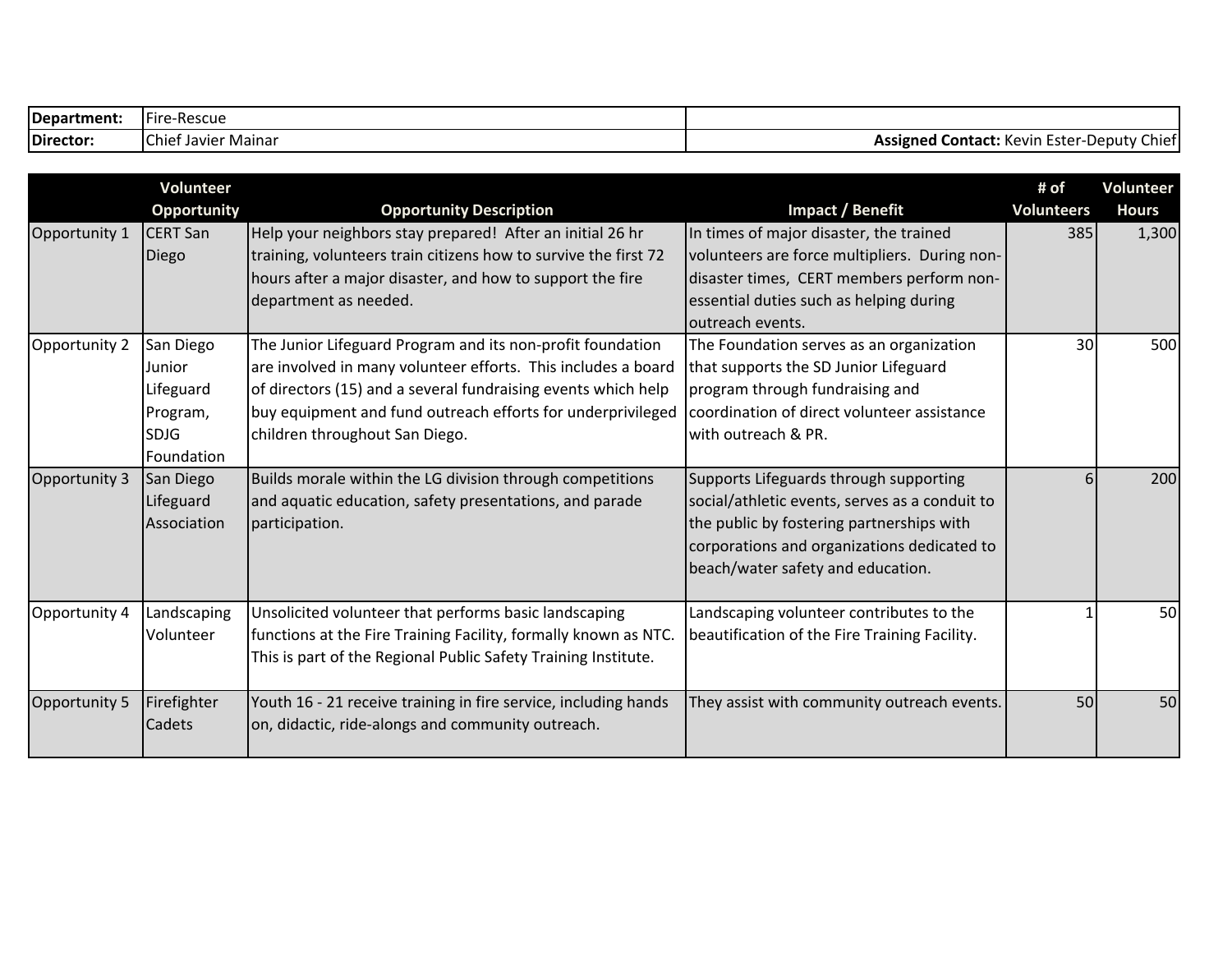| Department: | .<br>•-Rescue<br>Fire         |                                                                    |
|-------------|-------------------------------|--------------------------------------------------------------------|
| Director:   | Mainar<br>-Javier I<br>Chiet. | . Ester<br>-Deputv<br>Contact: K<br>Chie'<br>Assigned<br>. Kevin ' |

|               | Volunteer          |                                                                 |                                                | # of              | <b>Volunteer</b> |
|---------------|--------------------|-----------------------------------------------------------------|------------------------------------------------|-------------------|------------------|
|               | <b>Opportunity</b> | <b>Opportunity Description</b>                                  | <b>Impact / Benefit</b>                        | <b>Volunteers</b> | <b>Hours</b>     |
| Opportunity 1 | <b>CERT San</b>    | Help your neighbors stay prepared! After an initial 26 hr       | In times of major disaster, the trained        | 385               | 1,300            |
|               | Diego              | training, volunteers train citizens how to survive the first 72 | volunteers are force multipliers. During non-  |                   |                  |
|               |                    | hours after a major disaster, and how to support the fire       | disaster times, CERT members perform non-      |                   |                  |
|               |                    | department as needed.                                           | essential duties such as helping during        |                   |                  |
|               |                    |                                                                 | outreach events.                               |                   |                  |
| Opportunity 2 | San Diego          | The Junior Lifeguard Program and its non-profit foundation      | The Foundation serves as an organization       | 30                | 500              |
|               | Junior             | are involved in many volunteer efforts. This includes a board   | that supports the SD Junior Lifeguard          |                   |                  |
|               | Lifeguard          | of directors (15) and a several fundraising events which help   | program through fundraising and                |                   |                  |
|               | Program,           | buy equipment and fund outreach efforts for underprivileged     | coordination of direct volunteer assistance    |                   |                  |
|               | <b>SDJG</b>        | children throughout San Diego.                                  | with outreach & PR.                            |                   |                  |
|               | Foundation         |                                                                 |                                                |                   |                  |
| Opportunity 3 | San Diego          | Builds morale within the LG division through competitions       | Supports Lifeguards through supporting         | 6                 | 200              |
|               | Lifeguard          | and aquatic education, safety presentations, and parade         | social/athletic events, serves as a conduit to |                   |                  |
|               | Association        | participation.                                                  | the public by fostering partnerships with      |                   |                  |
|               |                    |                                                                 | corporations and organizations dedicated to    |                   |                  |
|               |                    |                                                                 | beach/water safety and education.              |                   |                  |
|               |                    |                                                                 |                                                |                   |                  |
| Opportunity 4 | Landscaping        | Unsolicited volunteer that performs basic landscaping           | Landscaping volunteer contributes to the       |                   | 50               |
|               | Volunteer          | functions at the Fire Training Facility, formally known as NTC. | beautification of the Fire Training Facility.  |                   |                  |
|               |                    | This is part of the Regional Public Safety Training Institute.  |                                                |                   |                  |
|               |                    |                                                                 |                                                |                   |                  |
| Opportunity 5 | Firefighter        | Youth 16 - 21 receive training in fire service, including hands | They assist with community outreach events.    | 50                | 50               |
|               | <b>Cadets</b>      | on, didactic, ride-alongs and community outreach.               |                                                |                   |                  |
|               |                    |                                                                 |                                                |                   |                  |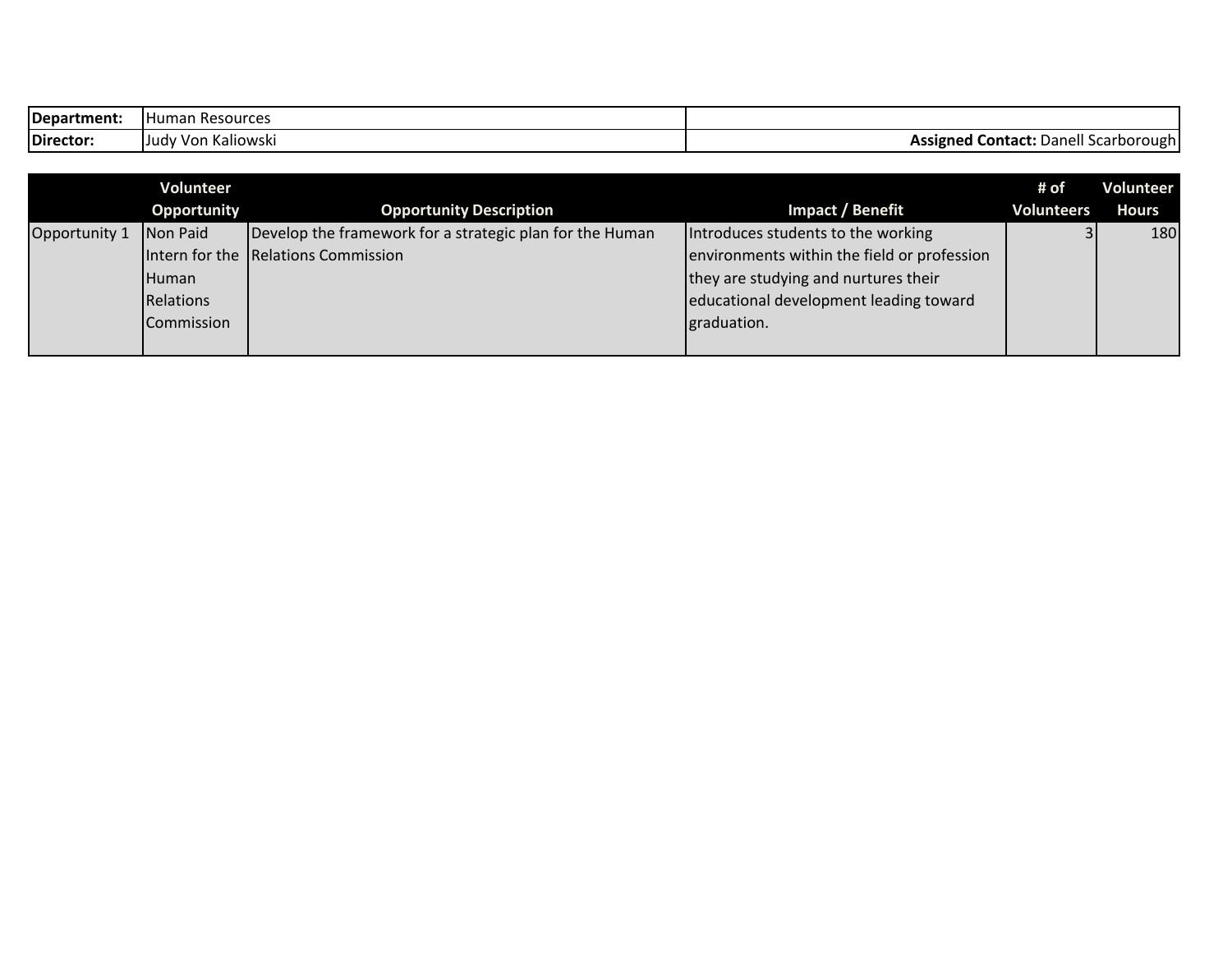| Department: | ነ Resources<br>Humar     |                                                                      |
|-------------|--------------------------|----------------------------------------------------------------------|
| Director:   | ' Von Kaliowski<br>Judy: | Assigned<br>Danell<br>Contact <sup>.</sup><br>. Scarbo:<br>ough<br>. |

|               | Volunteer    |                                                          |                                             | # of              | <b>Volunteer</b> |
|---------------|--------------|----------------------------------------------------------|---------------------------------------------|-------------------|------------------|
|               | Opportunity  | <b>Opportunity Description</b>                           | Impact / Benefit                            | <b>Volunteers</b> | <b>Hours</b>     |
| Opportunity 1 | Non Paid     | Develop the framework for a strategic plan for the Human | Introduces students to the working          |                   | 180              |
|               |              | Intern for the Relations Commission                      | environments within the field or profession |                   |                  |
|               | <b>Human</b> |                                                          | they are studying and nurtures their        |                   |                  |
|               | Relations    |                                                          | educational development leading toward      |                   |                  |
|               | Commission   |                                                          | graduation.                                 |                   |                  |
|               |              |                                                          |                                             |                   |                  |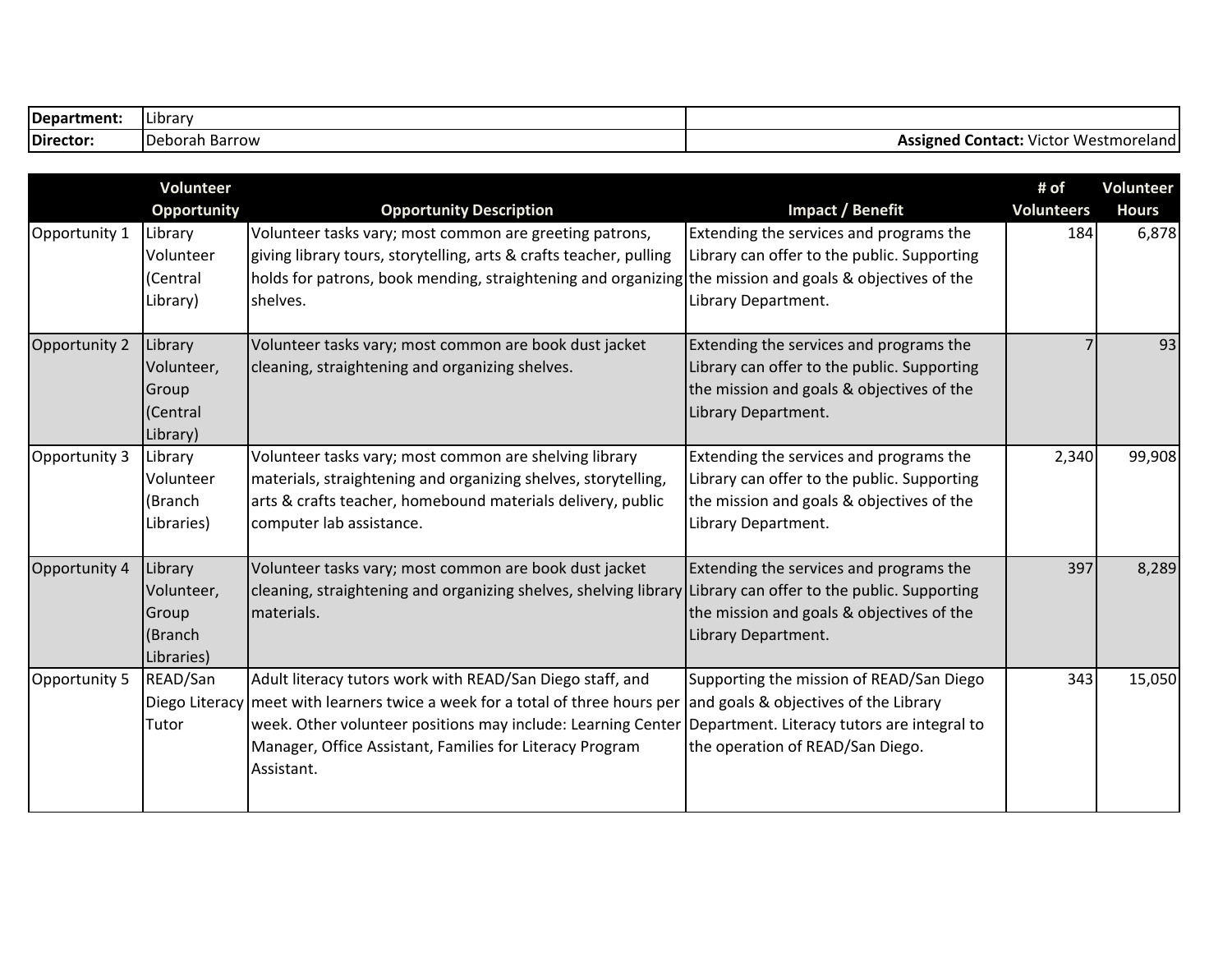| Department: | .<br><b>Librar</b> |                                                                 |
|-------------|--------------------|-----------------------------------------------------------------|
| Director:   | Jeborah Barrow     | <sup>.</sup> Westmorel<br>Contact<br>Victor<br>Assigned<br>'Idl |

|               | Volunteer<br><b>Opportunity</b>                         | <b>Opportunity Description</b>                                                                                                                                                                                                                                                       | <b>Impact / Benefit</b>                                                                                                                                              | # of<br><b>Volunteers</b> | Volunteer<br><b>Hours</b> |
|---------------|---------------------------------------------------------|--------------------------------------------------------------------------------------------------------------------------------------------------------------------------------------------------------------------------------------------------------------------------------------|----------------------------------------------------------------------------------------------------------------------------------------------------------------------|---------------------------|---------------------------|
| Opportunity 1 | Library<br>Volunteer<br>(Central<br>Library)            | Volunteer tasks vary; most common are greeting patrons,<br>giving library tours, storytelling, arts & crafts teacher, pulling<br>holds for patrons, book mending, straightening and organizing the mission and goals & objectives of the<br>shelves.                                 | Extending the services and programs the<br>Library can offer to the public. Supporting<br>Library Department.                                                        | 184                       | 6,878                     |
| Opportunity 2 | Library<br>Volunteer,<br>Group<br>(Central<br>Library)  | Volunteer tasks vary; most common are book dust jacket<br>cleaning, straightening and organizing shelves.                                                                                                                                                                            | Extending the services and programs the<br>Library can offer to the public. Supporting<br>the mission and goals & objectives of the<br>Library Department.           |                           | 93                        |
| Opportunity 3 | Library<br>Volunteer<br>(Branch<br>Libraries)           | Volunteer tasks vary; most common are shelving library<br>materials, straightening and organizing shelves, storytelling,<br>arts & crafts teacher, homebound materials delivery, public<br>computer lab assistance.                                                                  | Extending the services and programs the<br>Library can offer to the public. Supporting<br>the mission and goals & objectives of the<br>Library Department.           | 2,340                     | 99,908                    |
| Opportunity 4 | Library<br>Volunteer,<br>Group<br>(Branch<br>Libraries) | Volunteer tasks vary; most common are book dust jacket<br>cleaning, straightening and organizing shelves, shelving library Library can offer to the public. Supporting<br>materials.                                                                                                 | Extending the services and programs the<br>the mission and goals & objectives of the<br>Library Department.                                                          | 397                       | 8,289                     |
| Opportunity 5 | READ/San<br>Tutor                                       | Adult literacy tutors work with READ/San Diego staff, and<br>Diego Literacy meet with learners twice a week for a total of three hours per<br>week. Other volunteer positions may include: Learning Center<br>Manager, Office Assistant, Families for Literacy Program<br>Assistant. | Supporting the mission of READ/San Diego<br>and goals & objectives of the Library<br>Department. Literacy tutors are integral to<br>the operation of READ/San Diego. | 343                       | 15,050                    |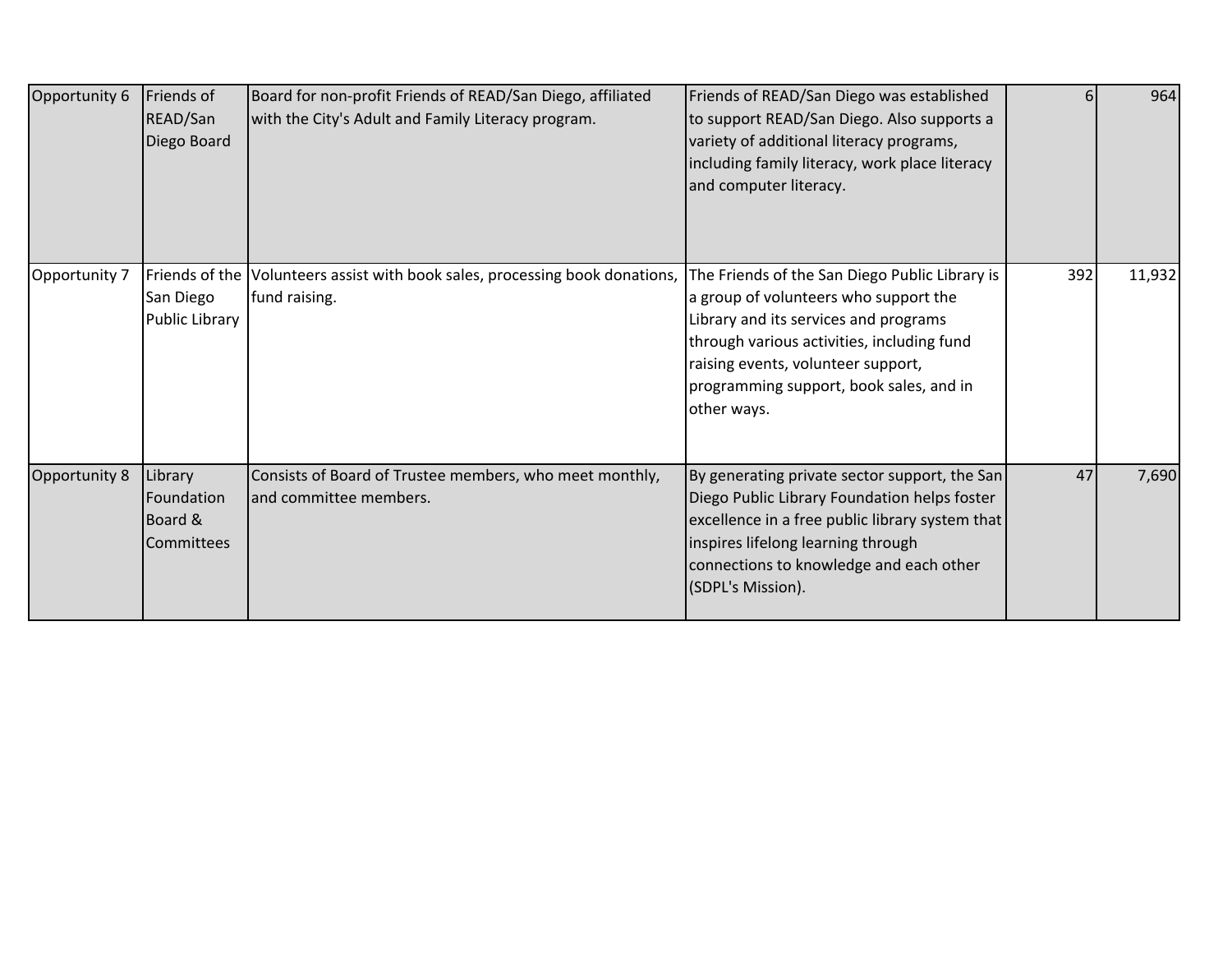| Opportunity 6 | Friends of<br>READ/San<br>Diego Board                 | Board for non-profit Friends of READ/San Diego, affiliated<br>with the City's Adult and Family Literacy program. | Friends of READ/San Diego was established<br>to support READ/San Diego. Also supports a<br>variety of additional literacy programs,<br>including family literacy, work place literacy<br>and computer literacy.                                                                |     | 964    |
|---------------|-------------------------------------------------------|------------------------------------------------------------------------------------------------------------------|--------------------------------------------------------------------------------------------------------------------------------------------------------------------------------------------------------------------------------------------------------------------------------|-----|--------|
| Opportunity 7 | Friends of the<br>San Diego<br>Public Library         | Volunteers assist with book sales, processing book donations,<br>fund raising.                                   | The Friends of the San Diego Public Library is<br>a group of volunteers who support the<br>Library and its services and programs<br>through various activities, including fund<br>raising events, volunteer support,<br>programming support, book sales, and in<br>other ways. | 392 | 11,932 |
| Opportunity 8 | Library<br>Foundation<br>Board &<br><b>Committees</b> | Consists of Board of Trustee members, who meet monthly,<br>and committee members.                                | By generating private sector support, the San<br>Diego Public Library Foundation helps foster<br>excellence in a free public library system that<br>inspires lifelong learning through<br>connections to knowledge and each other<br>(SDPL's Mission).                         | 47  | 7,690  |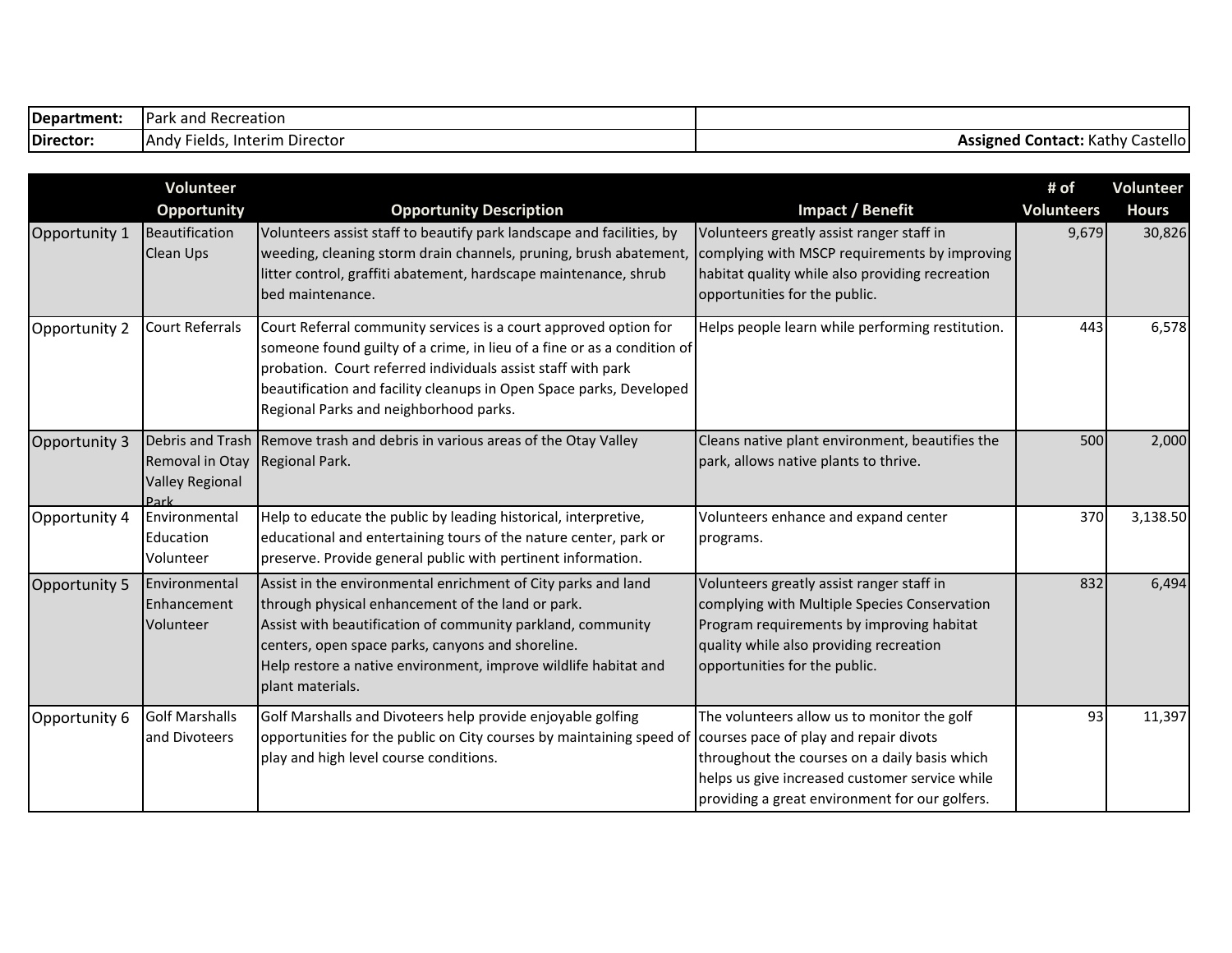| Department: | <b>IPark and Recreation</b>            |                                                  |
|-------------|----------------------------------------|--------------------------------------------------|
| Director:   | , Interim Director<br> And\<br>Fields. | l <b>Contact:</b> Kathv<br>Castellol<br>Assigned |

|               | Volunteer<br>Opportunity                          | <b>Opportunity Description</b>                                                                                                                                                                                                                                                                                                | Impact / Benefit                                                                                                                                                                                                   | # of<br><b>Volunteers</b> | <b>Volunteer</b><br><b>Hours</b> |
|---------------|---------------------------------------------------|-------------------------------------------------------------------------------------------------------------------------------------------------------------------------------------------------------------------------------------------------------------------------------------------------------------------------------|--------------------------------------------------------------------------------------------------------------------------------------------------------------------------------------------------------------------|---------------------------|----------------------------------|
| Opportunity 1 | Beautification<br><b>Clean Ups</b>                | Volunteers assist staff to beautify park landscape and facilities, by<br>weeding, cleaning storm drain channels, pruning, brush abatement,<br>litter control, graffiti abatement, hardscape maintenance, shrub<br>bed maintenance.                                                                                            | Volunteers greatly assist ranger staff in<br>complying with MSCP requirements by improving<br>habitat quality while also providing recreation<br>opportunities for the public.                                     | 9,679                     | 30,826                           |
| Opportunity 2 | <b>Court Referrals</b>                            | Court Referral community services is a court approved option for<br>someone found guilty of a crime, in lieu of a fine or as a condition of<br>probation. Court referred individuals assist staff with park<br>beautification and facility cleanups in Open Space parks, Developed<br>Regional Parks and neighborhood parks.  | Helps people learn while performing restitution.                                                                                                                                                                   | 443                       | 6,578                            |
| Opportunity 3 | Removal in Otay<br><b>Valley Regional</b><br>Park | Debris and Trash Remove trash and debris in various areas of the Otay Valley<br>Regional Park.                                                                                                                                                                                                                                | Cleans native plant environment, beautifies the<br>park, allows native plants to thrive.                                                                                                                           | 500                       | 2,000                            |
| Opportunity 4 | Environmental<br>Education<br>Volunteer           | Help to educate the public by leading historical, interpretive,<br>educational and entertaining tours of the nature center, park or<br>preserve. Provide general public with pertinent information.                                                                                                                           | Volunteers enhance and expand center<br>programs.                                                                                                                                                                  | 370                       | 3,138.50                         |
| Opportunity 5 | Environmental<br>Enhancement<br>Volunteer         | Assist in the environmental enrichment of City parks and land<br>through physical enhancement of the land or park.<br>Assist with beautification of community parkland, community<br>centers, open space parks, canyons and shoreline.<br>Help restore a native environment, improve wildlife habitat and<br>plant materials. | Volunteers greatly assist ranger staff in<br>complying with Multiple Species Conservation<br>Program requirements by improving habitat<br>quality while also providing recreation<br>opportunities for the public. | 832                       | 6,494                            |
| Opportunity 6 | <b>Golf Marshalls</b><br>and Divoteers            | Golf Marshalls and Divoteers help provide enjoyable golfing<br>opportunities for the public on City courses by maintaining speed of courses pace of play and repair divots<br>play and high level course conditions.                                                                                                          | The volunteers allow us to monitor the golf<br>throughout the courses on a daily basis which<br>helps us give increased customer service while<br>providing a great environment for our golfers.                   | 93                        | 11,397                           |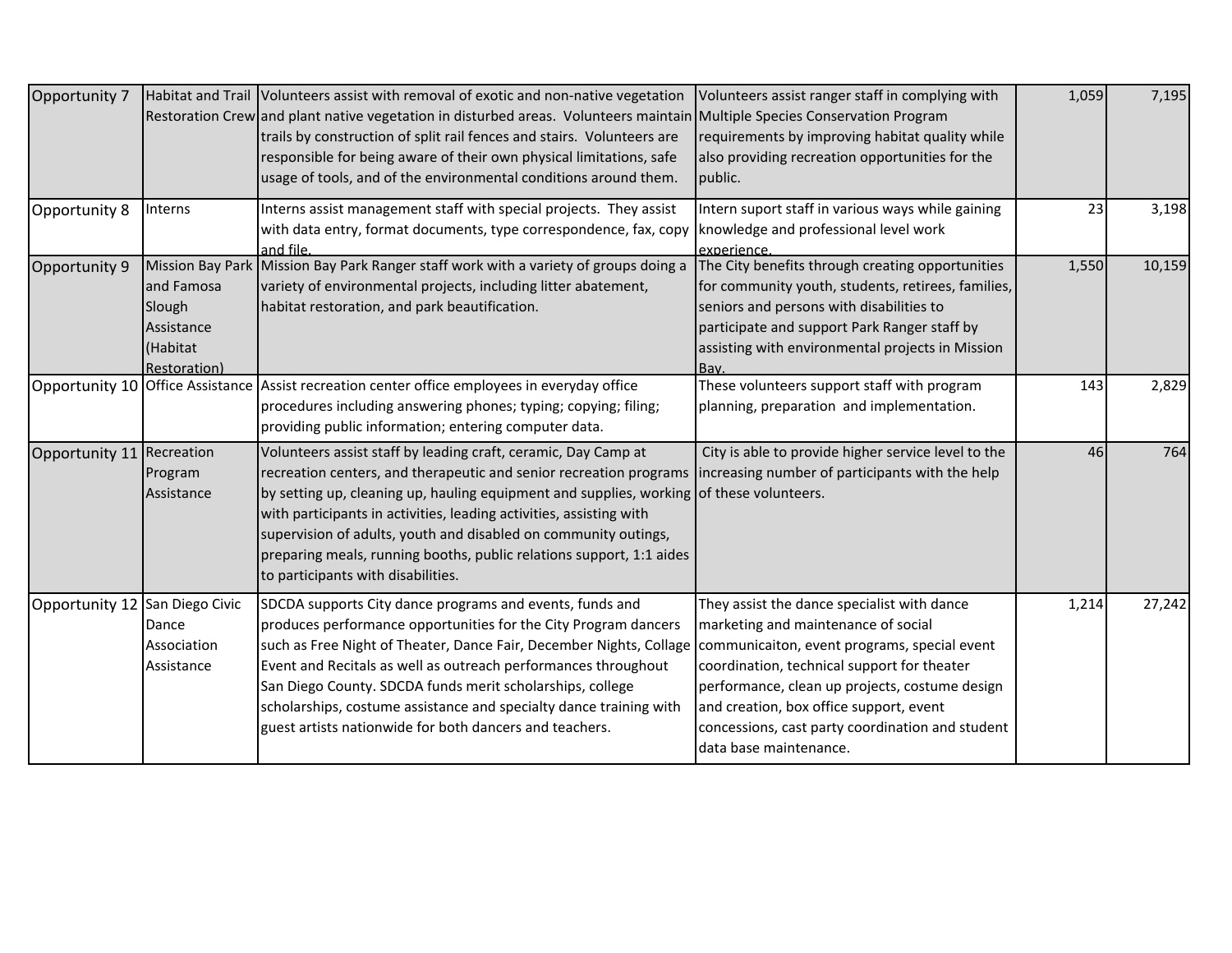| Opportunity 7                    |                                                                                           | Habitat and Trail Volunteers assist with removal of exotic and non-native vegetation<br>Restoration Crew and plant native vegetation in disturbed areas. Volunteers maintain Multiple Species Conservation Program<br>trails by construction of split rail fences and stairs. Volunteers are<br>responsible for being aware of their own physical limitations, safe<br>usage of tools, and of the environmental conditions around them.                                                                                                   | Volunteers assist ranger staff in complying with<br>requirements by improving habitat quality while<br>also providing recreation opportunities for the<br>public.                                                                                                                                            | 1,059 | 7,195  |
|----------------------------------|-------------------------------------------------------------------------------------------|-------------------------------------------------------------------------------------------------------------------------------------------------------------------------------------------------------------------------------------------------------------------------------------------------------------------------------------------------------------------------------------------------------------------------------------------------------------------------------------------------------------------------------------------|--------------------------------------------------------------------------------------------------------------------------------------------------------------------------------------------------------------------------------------------------------------------------------------------------------------|-------|--------|
| Opportunity 8                    | Interns                                                                                   | Interns assist management staff with special projects. They assist<br>with data entry, format documents, type correspondence, fax, copy<br>and file.                                                                                                                                                                                                                                                                                                                                                                                      | Intern suport staff in various ways while gaining<br>knowledge and professional level work<br>experience.                                                                                                                                                                                                    | 23    | 3,198  |
| Opportunity 9                    | <b>Mission Bay Park</b><br>and Famosa<br>Slough<br>Assistance<br>(Habitat<br>Restoration) | Mission Bay Park Ranger staff work with a variety of groups doing a<br>variety of environmental projects, including litter abatement,<br>habitat restoration, and park beautification.                                                                                                                                                                                                                                                                                                                                                    | The City benefits through creating opportunities<br>for community youth, students, retirees, families,<br>seniors and persons with disabilities to<br>participate and support Park Ranger staff by<br>assisting with environmental projects in Mission<br>Bav.                                               | 1,550 | 10,159 |
| Opportunity 10 Office Assistance |                                                                                           | Assist recreation center office employees in everyday office<br>procedures including answering phones; typing; copying; filing;<br>providing public information; entering computer data.                                                                                                                                                                                                                                                                                                                                                  | These volunteers support staff with program<br>planning, preparation and implementation.                                                                                                                                                                                                                     | 143   | 2,829  |
| Opportunity 11 Recreation        | Program<br>Assistance                                                                     | Volunteers assist staff by leading craft, ceramic, Day Camp at<br>recreation centers, and therapeutic and senior recreation programs lincreasing number of participants with the help<br>by setting up, cleaning up, hauling equipment and supplies, working of these volunteers.<br>with participants in activities, leading activities, assisting with<br>supervision of adults, youth and disabled on community outings,<br>preparing meals, running booths, public relations support, 1:1 aides<br>to participants with disabilities. | City is able to provide higher service level to the                                                                                                                                                                                                                                                          | 46    | 764    |
| Opportunity 12 San Diego Civic   | Dance<br>Association<br>Assistance                                                        | SDCDA supports City dance programs and events, funds and<br>produces performance opportunities for the City Program dancers<br>such as Free Night of Theater, Dance Fair, December Nights, Collage communicaiton, event programs, special event<br>Event and Recitals as well as outreach performances throughout<br>San Diego County. SDCDA funds merit scholarships, college<br>scholarships, costume assistance and specialty dance training with<br>guest artists nationwide for both dancers and teachers.                           | They assist the dance specialist with dance<br>marketing and maintenance of social<br>coordination, technical support for theater<br>performance, clean up projects, costume design<br>and creation, box office support, event<br>concessions, cast party coordination and student<br>data base maintenance. | 1,214 | 27,242 |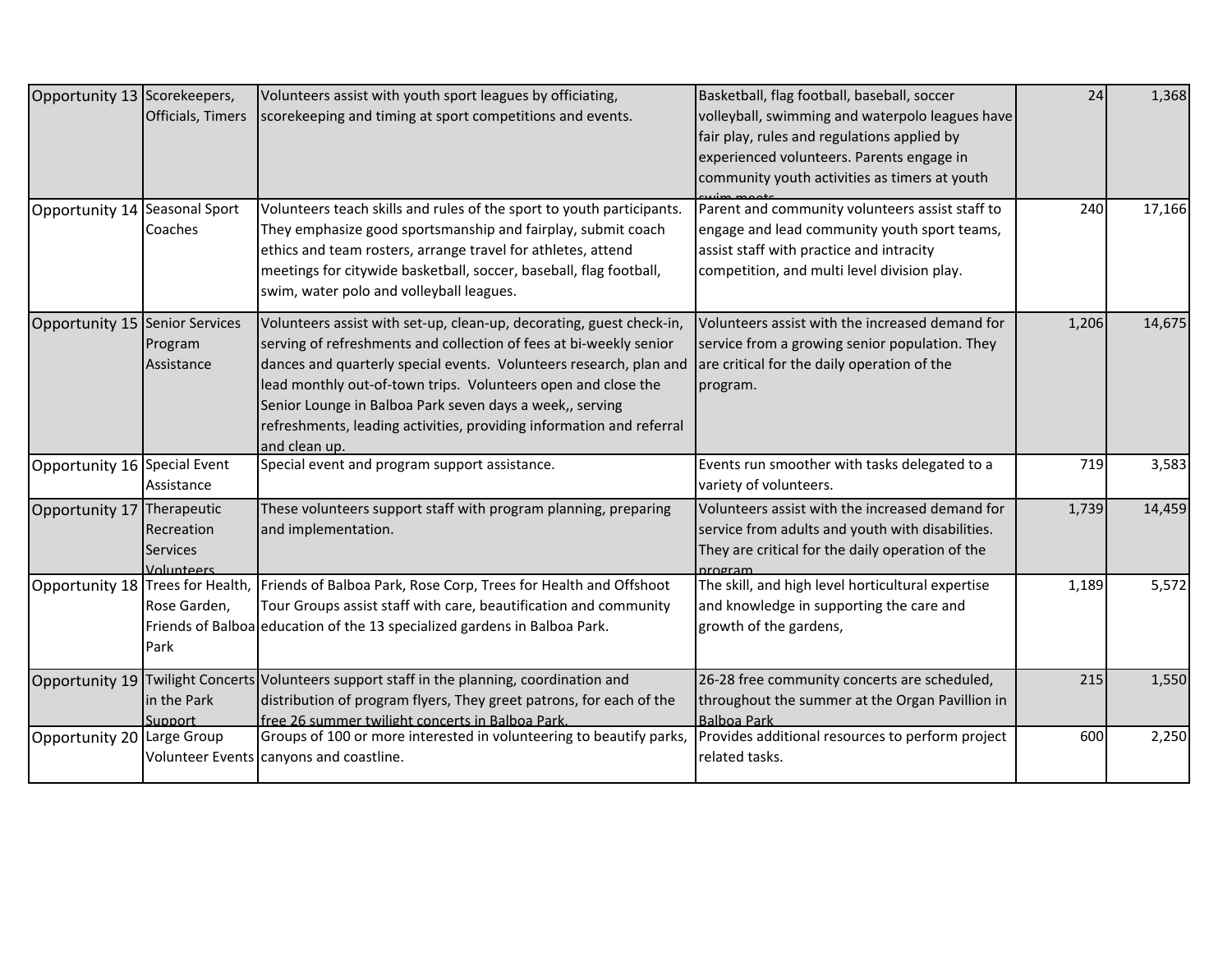| Opportunity 13 Scorekeepers,<br>Opportunity 14 Seasonal Sport | Officials, Timers<br>Coaches                | Volunteers assist with youth sport leagues by officiating,<br>scorekeeping and timing at sport competitions and events.<br>Volunteers teach skills and rules of the sport to youth participants.<br>They emphasize good sportsmanship and fairplay, submit coach<br>ethics and team rosters, arrange travel for athletes, attend<br>meetings for citywide basketball, soccer, baseball, flag football,<br>swim, water polo and volleyball leagues. | Basketball, flag football, baseball, soccer<br>volleyball, swimming and waterpolo leagues have<br>fair play, rules and regulations applied by<br>experienced volunteers. Parents engage in<br>community youth activities as timers at youth<br>Parent and community volunteers assist staff to<br>engage and lead community youth sport teams,<br>assist staff with practice and intracity<br>competition, and multi level division play. | 24<br>240 | 1,368<br>17,166 |
|---------------------------------------------------------------|---------------------------------------------|----------------------------------------------------------------------------------------------------------------------------------------------------------------------------------------------------------------------------------------------------------------------------------------------------------------------------------------------------------------------------------------------------------------------------------------------------|-------------------------------------------------------------------------------------------------------------------------------------------------------------------------------------------------------------------------------------------------------------------------------------------------------------------------------------------------------------------------------------------------------------------------------------------|-----------|-----------------|
| Opportunity 15 Senior Services                                | Program<br>Assistance                       | Volunteers assist with set-up, clean-up, decorating, guest check-in,<br>serving of refreshments and collection of fees at bi-weekly senior<br>dances and quarterly special events. Volunteers research, plan and<br>lead monthly out-of-town trips. Volunteers open and close the<br>Senior Lounge in Balboa Park seven days a week,, serving<br>refreshments, leading activities, providing information and referral<br>and clean up.             | Volunteers assist with the increased demand for<br>service from a growing senior population. They<br>are critical for the daily operation of the<br>program.                                                                                                                                                                                                                                                                              | 1,206     | 14,675          |
| Opportunity 16 Special Event                                  | Assistance                                  | Special event and program support assistance.                                                                                                                                                                                                                                                                                                                                                                                                      | Events run smoother with tasks delegated to a<br>variety of volunteers.                                                                                                                                                                                                                                                                                                                                                                   | 719       | 3,583           |
| Opportunity 17 Therapeutic                                    | Recreation<br><b>Services</b><br>Volunteers | These volunteers support staff with program planning, preparing<br>and implementation.                                                                                                                                                                                                                                                                                                                                                             | Volunteers assist with the increased demand for<br>service from adults and youth with disabilities.<br>They are critical for the daily operation of the<br>nrogram                                                                                                                                                                                                                                                                        | 1,739     | 14,459          |
|                                                               | Rose Garden,<br>Park                        | Opportunity 18 Trees for Health, Friends of Balboa Park, Rose Corp, Trees for Health and Offshoot<br>Tour Groups assist staff with care, beautification and community<br>Friends of Balboa education of the 13 specialized gardens in Balboa Park.                                                                                                                                                                                                 | The skill, and high level horticultural expertise<br>and knowledge in supporting the care and<br>growth of the gardens,                                                                                                                                                                                                                                                                                                                   | 1,189     | 5,572           |
| Opportunity 19                                                | in the Park<br>Support                      | Twilight Concerts Volunteers support staff in the planning, coordination and<br>distribution of program flyers, They greet patrons, for each of the<br>free 26 summer twilight concerts in Balboa Park.                                                                                                                                                                                                                                            | 26-28 free community concerts are scheduled,<br>throughout the summer at the Organ Pavillion in<br>Balboa Park                                                                                                                                                                                                                                                                                                                            | 215       | 1,550           |
| Opportunity 20 Large Group                                    |                                             | Groups of 100 or more interested in volunteering to beautify parks,<br>Volunteer Events canyons and coastline.                                                                                                                                                                                                                                                                                                                                     | Provides additional resources to perform project<br>related tasks.                                                                                                                                                                                                                                                                                                                                                                        | 600       | 2,250           |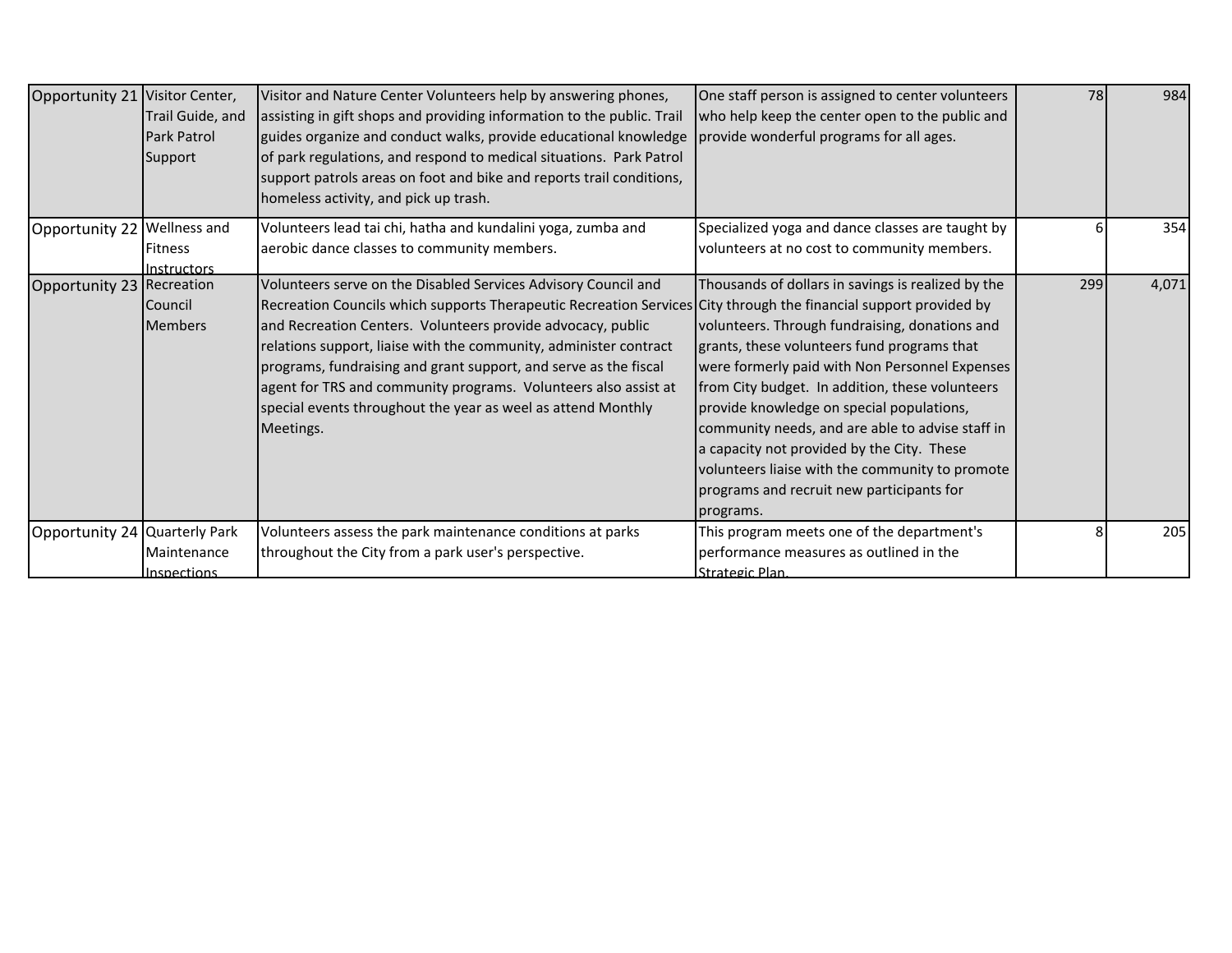| Opportunity 21 Visitor Center, | Trail Guide, and<br>Park Patrol<br>Support | Visitor and Nature Center Volunteers help by answering phones,<br>assisting in gift shops and providing information to the public. Trail<br>guides organize and conduct walks, provide educational knowledge<br>of park regulations, and respond to medical situations. Park Patrol<br>support patrols areas on foot and bike and reports trail conditions,<br>homeless activity, and pick up trash.                                                                                                                                        | One staff person is assigned to center volunteers<br>who help keep the center open to the public and<br>provide wonderful programs for all ages.                                                                                                                                                                                                                                                                                                                                                                     | 78  | 984   |
|--------------------------------|--------------------------------------------|---------------------------------------------------------------------------------------------------------------------------------------------------------------------------------------------------------------------------------------------------------------------------------------------------------------------------------------------------------------------------------------------------------------------------------------------------------------------------------------------------------------------------------------------|----------------------------------------------------------------------------------------------------------------------------------------------------------------------------------------------------------------------------------------------------------------------------------------------------------------------------------------------------------------------------------------------------------------------------------------------------------------------------------------------------------------------|-----|-------|
| Opportunity 22 Wellness and    | <b>Fitness</b><br>Instructors              | Volunteers lead tai chi, hatha and kundalini yoga, zumba and<br>aerobic dance classes to community members.                                                                                                                                                                                                                                                                                                                                                                                                                                 | Specialized yoga and dance classes are taught by<br>volunteers at no cost to community members.                                                                                                                                                                                                                                                                                                                                                                                                                      |     | 354   |
| Opportunity 23 Recreation      | <b>Council</b><br><b>IMembers</b>          | Volunteers serve on the Disabled Services Advisory Council and<br>Recreation Councils which supports Therapeutic Recreation Services City through the financial support provided by<br>and Recreation Centers. Volunteers provide advocacy, public<br>relations support, liaise with the community, administer contract<br>programs, fundraising and grant support, and serve as the fiscal<br>agent for TRS and community programs. Volunteers also assist at<br>special events throughout the year as weel as attend Monthly<br>Meetings. | Thousands of dollars in savings is realized by the<br>volunteers. Through fundraising, donations and<br>grants, these volunteers fund programs that<br>were formerly paid with Non Personnel Expenses<br>from City budget. In addition, these volunteers<br>provide knowledge on special populations,<br>community needs, and are able to advise staff in<br>a capacity not provided by the City. These<br>volunteers liaise with the community to promote<br>programs and recruit new participants for<br>programs. | 299 | 4,071 |
| Opportunity 24 Quarterly Park  | Maintenance<br>Inspections                 | Volunteers assess the park maintenance conditions at parks<br>throughout the City from a park user's perspective.                                                                                                                                                                                                                                                                                                                                                                                                                           | This program meets one of the department's<br>performance measures as outlined in the<br>Strategic Plan.                                                                                                                                                                                                                                                                                                                                                                                                             |     | 205   |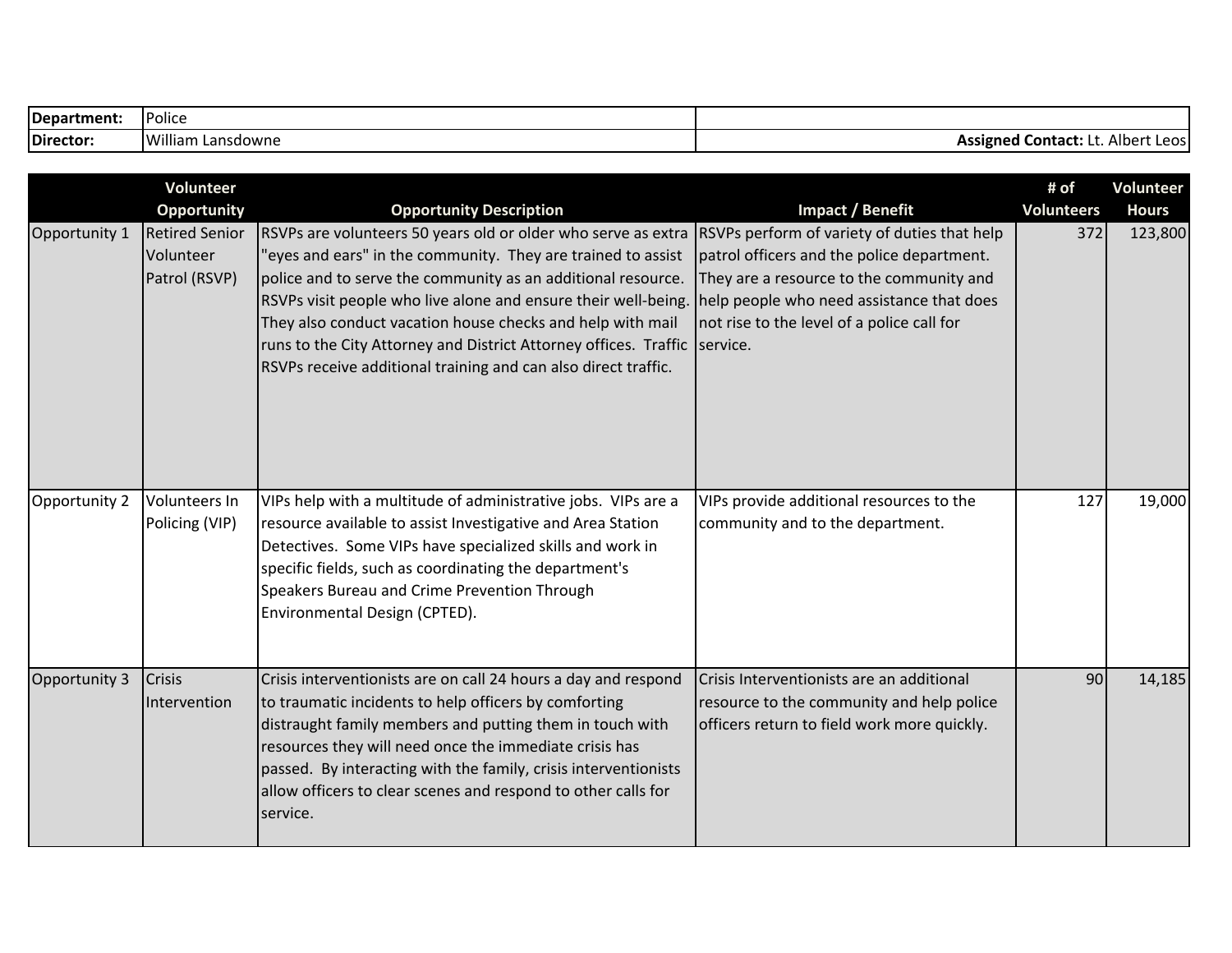| Department: | <b>IPolice</b>         |                                                                    |
|-------------|------------------------|--------------------------------------------------------------------|
| Director:   | William<br>. Lansdowne | .<br>Assigned<br>. Alber<br><b>Contact:</b><br>$\sim$<br>LCU.<br>. |

|               | Volunteer<br><b>Opportunity</b>                     | <b>Opportunity Description</b>                                                                                                                                                                                                                                                                                                                                                                                                                                                                                            | Impact / Benefit                                                                                                                                                                  | # of<br><b>Volunteers</b> | <b>Volunteer</b><br><b>Hours</b> |
|---------------|-----------------------------------------------------|---------------------------------------------------------------------------------------------------------------------------------------------------------------------------------------------------------------------------------------------------------------------------------------------------------------------------------------------------------------------------------------------------------------------------------------------------------------------------------------------------------------------------|-----------------------------------------------------------------------------------------------------------------------------------------------------------------------------------|---------------------------|----------------------------------|
| Opportunity 1 | <b>Retired Senior</b><br>Volunteer<br>Patrol (RSVP) | RSVPs are volunteers 50 years old or older who serve as extra RSVPs perform of variety of duties that help<br>'eyes and ears" in the community. They are trained to assist<br>police and to serve the community as an additional resource.<br>RSVPs visit people who live alone and ensure their well-being.<br>They also conduct vacation house checks and help with mail<br>runs to the City Attorney and District Attorney offices. Traffic service.<br>RSVPs receive additional training and can also direct traffic. | patrol officers and the police department.<br>They are a resource to the community and<br>help people who need assistance that does<br>not rise to the level of a police call for | 372                       | 123,800                          |
| Opportunity 2 | Volunteers In<br>Policing (VIP)                     | VIPs help with a multitude of administrative jobs. VIPs are a<br>resource available to assist Investigative and Area Station<br>Detectives. Some VIPs have specialized skills and work in<br>specific fields, such as coordinating the department's<br>Speakers Bureau and Crime Prevention Through<br>Environmental Design (CPTED).                                                                                                                                                                                      | VIPs provide additional resources to the<br>community and to the department.                                                                                                      | 127                       | 19,000                           |
| Opportunity 3 | Crisis<br>Intervention                              | Crisis interventionists are on call 24 hours a day and respond<br>to traumatic incidents to help officers by comforting<br>distraught family members and putting them in touch with<br>resources they will need once the immediate crisis has<br>passed. By interacting with the family, crisis interventionists<br>allow officers to clear scenes and respond to other calls for<br>service.                                                                                                                             | Crisis Interventionists are an additional<br>resource to the community and help police<br>officers return to field work more quickly.                                             | 90                        | 14,185                           |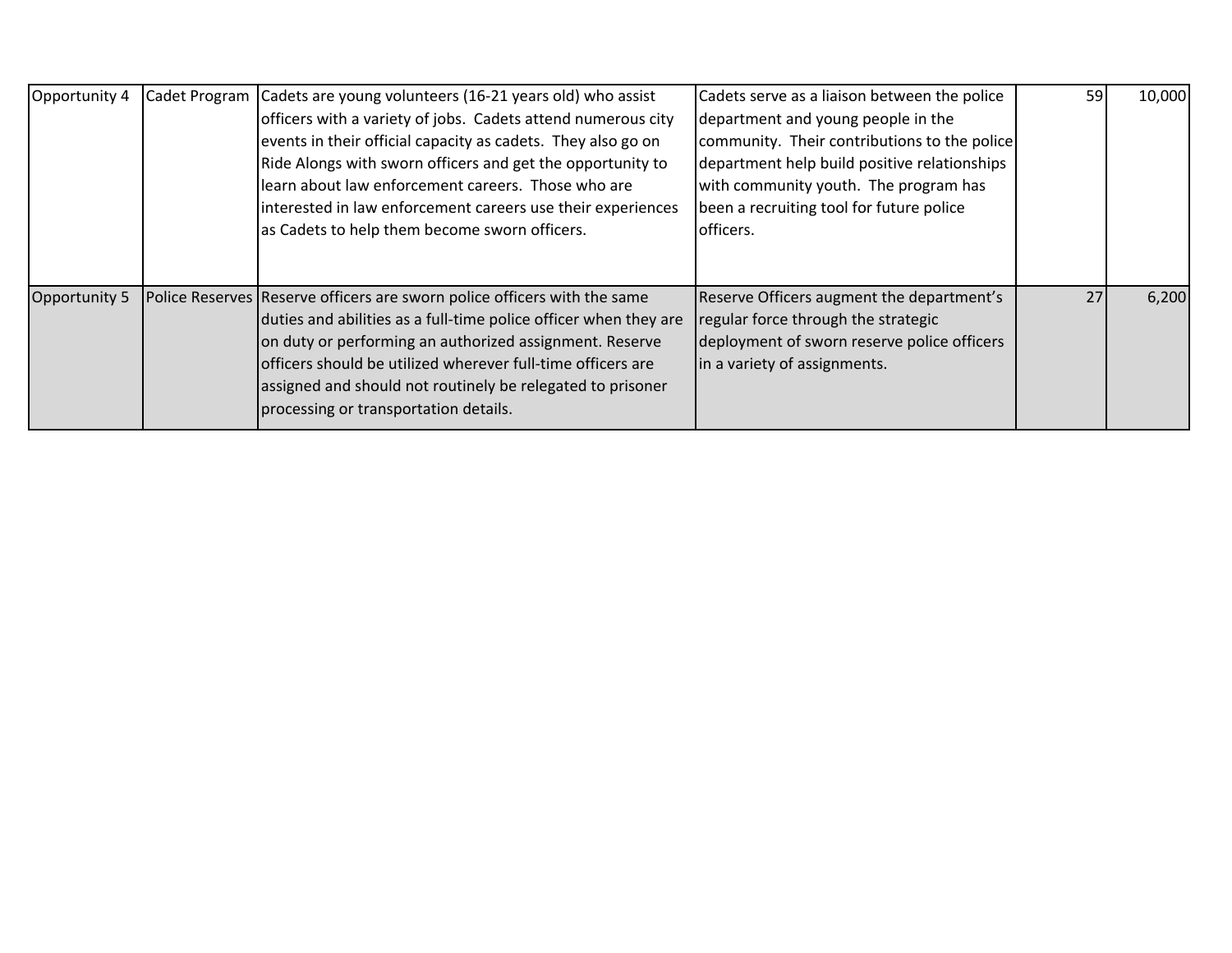| Opportunity 4 | Cadet Program | Cadets are young volunteers (16-21 years old) who assist<br>officers with a variety of jobs. Cadets attend numerous city<br>events in their official capacity as cadets. They also go on<br>Ride Alongs with sworn officers and get the opportunity to<br>learn about law enforcement careers. Those who are<br>interested in law enforcement careers use their experiences<br>as Cadets to help them become sworn officers. | Cadets serve as a liaison between the police<br>department and young people in the<br>community. Their contributions to the police<br>department help build positive relationships<br>with community youth. The program has<br>been a recruiting tool for future police<br>officers. | 59 | 10,000 |
|---------------|---------------|------------------------------------------------------------------------------------------------------------------------------------------------------------------------------------------------------------------------------------------------------------------------------------------------------------------------------------------------------------------------------------------------------------------------------|--------------------------------------------------------------------------------------------------------------------------------------------------------------------------------------------------------------------------------------------------------------------------------------|----|--------|
| Opportunity 5 |               | Police Reserves Reserve officers are sworn police officers with the same<br>duties and abilities as a full-time police officer when they are<br>on duty or performing an authorized assignment. Reserve<br>officers should be utilized wherever full-time officers are<br>assigned and should not routinely be relegated to prisoner<br>processing or transportation details.                                                | Reserve Officers augment the department's<br>regular force through the strategic<br>deployment of sworn reserve police officers<br>in a variety of assignments.                                                                                                                      | 27 | 6,200  |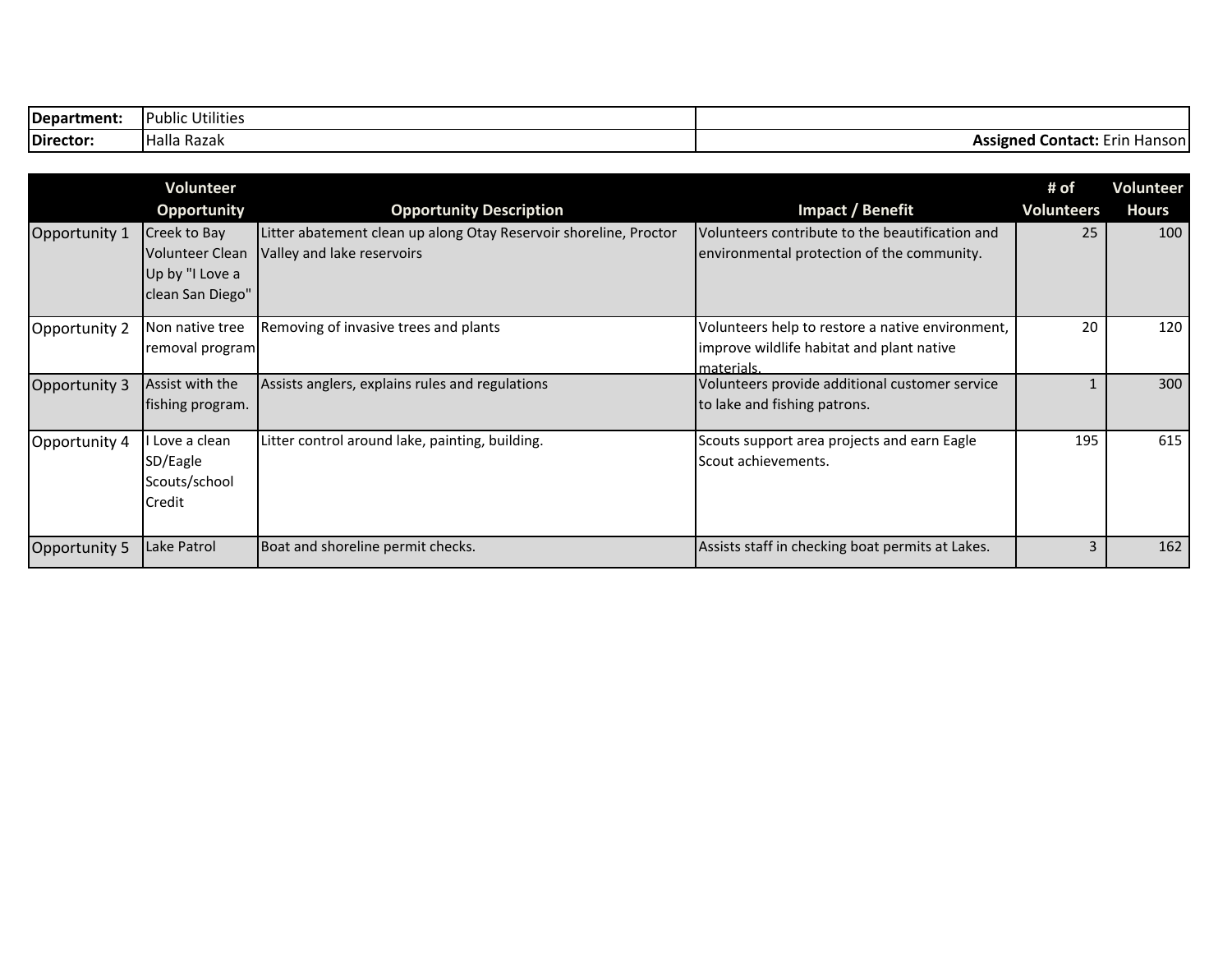| Department: | $\cdots$<br>.<br>: Utilities<br>TPublic |                                               |
|-------------|-----------------------------------------|-----------------------------------------------|
| Director:   | <b>Halla</b><br>- Razak                 | <b>Assigned Contact:</b><br>Hanson i<br>- rir |

|               | Volunteer          |                                                                   |                                                  | # of              | Volunteer    |
|---------------|--------------------|-------------------------------------------------------------------|--------------------------------------------------|-------------------|--------------|
|               | <b>Opportunity</b> | <b>Opportunity Description</b>                                    | Impact / Benefit                                 | <b>Volunteers</b> | <b>Hours</b> |
| Opportunity 1 | Creek to Bay       | Litter abatement clean up along Otay Reservoir shoreline, Proctor | Volunteers contribute to the beautification and  | 25                | 100          |
|               | Volunteer Clean    | Valley and lake reservoirs                                        | environmental protection of the community.       |                   |              |
|               | Up by "I Love a    |                                                                   |                                                  |                   |              |
|               | clean San Diego"   |                                                                   |                                                  |                   |              |
|               | Non native tree    |                                                                   |                                                  | 20                | 120          |
| Opportunity 2 |                    | Removing of invasive trees and plants                             | Volunteers help to restore a native environment, |                   |              |
|               | removal program    |                                                                   | improve wildlife habitat and plant native        |                   |              |
|               |                    |                                                                   | materials.                                       |                   | 300          |
| Opportunity 3 | Assist with the    | Assists anglers, explains rules and regulations                   | Volunteers provide additional customer service   |                   |              |
|               | Ifishing program.  |                                                                   | to lake and fishing patrons.                     |                   |              |
| Opportunity 4 | Love a clean       | Litter control around lake, painting, building.                   | Scouts support area projects and earn Eagle      | 195               | 615          |
|               | SD/Eagle           |                                                                   | Scout achievements.                              |                   |              |
|               | Scouts/school      |                                                                   |                                                  |                   |              |
|               | <b>Credit</b>      |                                                                   |                                                  |                   |              |
|               |                    |                                                                   |                                                  |                   |              |
| Opportunity 5 | Lake Patrol        | Boat and shoreline permit checks.                                 | Assists staff in checking boat permits at Lakes. | 3                 | 162          |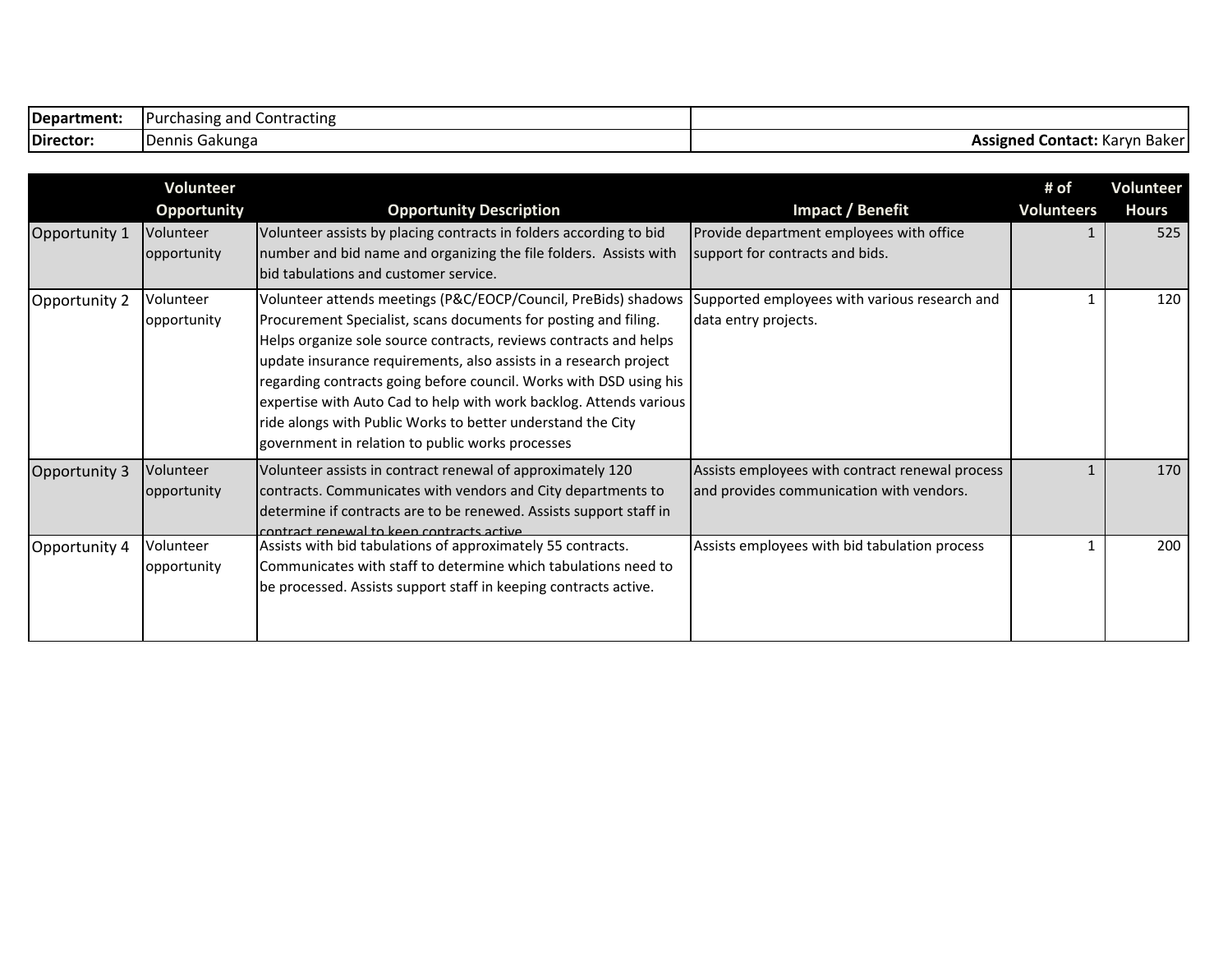| Department: | Contracting<br><b>Purchasing and</b> |                                       |
|-------------|--------------------------------------|---------------------------------------|
| Director:   | Gakunga<br>Dennis <b>1</b>           | Assigned<br>Contact:<br>: Karvn Baker |

|               | <b>Volunteer</b>         |                                                                                                                                                                                                                                                                                                                                                                                                                                                                                                                                            |                                                                                             | # of              | <b>Volunteer</b> |
|---------------|--------------------------|--------------------------------------------------------------------------------------------------------------------------------------------------------------------------------------------------------------------------------------------------------------------------------------------------------------------------------------------------------------------------------------------------------------------------------------------------------------------------------------------------------------------------------------------|---------------------------------------------------------------------------------------------|-------------------|------------------|
|               | <b>Opportunity</b>       | <b>Opportunity Description</b>                                                                                                                                                                                                                                                                                                                                                                                                                                                                                                             | Impact / Benefit                                                                            | <b>Volunteers</b> | <b>Hours</b>     |
| Opportunity 1 | Volunteer<br>opportunity | Volunteer assists by placing contracts in folders according to bid<br>number and bid name and organizing the file folders. Assists with<br>bid tabulations and customer service.                                                                                                                                                                                                                                                                                                                                                           | Provide department employees with office<br>support for contracts and bids.                 |                   | 525              |
| Opportunity 2 | Volunteer<br>opportunity | Volunteer attends meetings (P&C/EOCP/Council, PreBids) shadows<br>Procurement Specialist, scans documents for posting and filing.<br>Helps organize sole source contracts, reviews contracts and helps<br>update insurance requirements, also assists in a research project<br>regarding contracts going before council. Works with DSD using his<br>expertise with Auto Cad to help with work backlog. Attends various<br>ride alongs with Public Works to better understand the City<br>government in relation to public works processes | Supported employees with various research and<br>data entry projects.                       |                   | 120              |
| Opportunity 3 | Volunteer<br>opportunity | Volunteer assists in contract renewal of approximately 120<br>contracts. Communicates with vendors and City departments to<br>determine if contracts are to be renewed. Assists support staff in<br>contract renewal to keen contracts active                                                                                                                                                                                                                                                                                              | Assists employees with contract renewal process<br>and provides communication with vendors. |                   | 170              |
| Opportunity 4 | Volunteer<br>opportunity | Assists with bid tabulations of approximately 55 contracts.<br>Communicates with staff to determine which tabulations need to<br>be processed. Assists support staff in keeping contracts active.                                                                                                                                                                                                                                                                                                                                          | Assists employees with bid tabulation process                                               |                   | 200              |